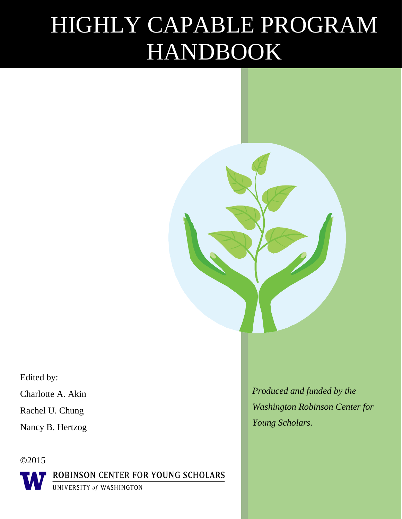# HIGHLY CAPABLE PROGRAM HANDBOOK

Edited by:

Charlotte A. Akin

Rachel U. Chung

Nancy B. Hertzog

©2015

ROBINSON CENTER FOR YOUNG SCHOLARS

UNIVERSITY of WASHINGTON

*Produced and funded by the Washington Robinson Center for Young Scholars.*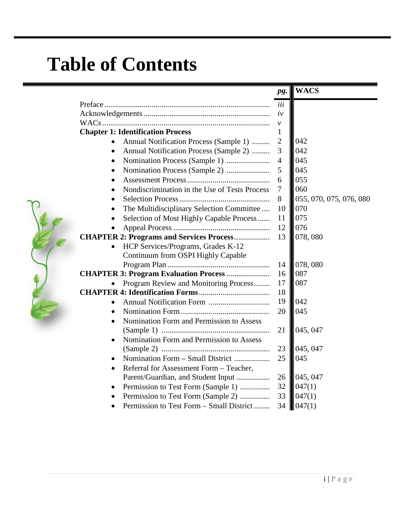## **Table of Contents**

|                                                            | pg.            | <b>WACS</b>             |
|------------------------------------------------------------|----------------|-------------------------|
|                                                            | iii            |                         |
|                                                            | iv             |                         |
|                                                            | $\mathcal V$   |                         |
| <b>Chapter 1: Identification Process</b>                   | $\mathbf{1}$   |                         |
| Annual Notification Process (Sample 1)                     | $\overline{c}$ | 042                     |
| Annual Notification Process (Sample 2)<br>$\bullet$        | 3              | 042                     |
| $\bullet$                                                  | $\overline{4}$ | 045                     |
| $\bullet$                                                  | 5              | 045                     |
| $\bullet$                                                  | 6              | 055                     |
| Nondiscrimination in the Use of Tests Process<br>$\bullet$ | $\overline{7}$ | 060                     |
| $\bullet$                                                  | 8              | 055, 070, 075, 076, 080 |
| The Multidisciplinary Selection Committee<br>٠             | 10             | 070                     |
| Selection of Most Highly Capable Process<br>$\bullet$      | 11             | 075                     |
|                                                            | 12             | 076                     |
| <b>CHAPTER 2: Programs and Services Process</b>            | 13             | 078,080                 |
| HCP Services/Programs, Grades K-12<br>$\bullet$            |                |                         |
| Continuum from OSPI Highly Capable                         |                |                         |
|                                                            | 14             | 078,080                 |
| <b>CHAPTER 3: Program Evaluation Process </b>              | 16             | 087                     |
| Program Review and Monitoring Process<br>$\bullet$         | 17             | 087                     |
|                                                            | 18             |                         |
| $\bullet$                                                  | 19             | 042                     |
| $\bullet$                                                  | 20             | 045                     |
| Nomination Form and Permission to Assess<br>$\bullet$      |                |                         |
|                                                            | 21             | 045, 047                |
| Nomination Form and Permission to Assess<br>$\bullet$      |                |                         |
|                                                            | 23             | 045, 047                |
| Nomination Form – Small District                           | 25             | 045                     |
| Referral for Assessment Form - Teacher,                    |                |                         |
| Parent/Guardian, and Student Input                         | 26             | 045, 047                |
| Permission to Test Form (Sample 1)                         | 32             | 047(1)                  |
| Permission to Test Form (Sample 2)                         | 33             | 047(1)                  |
| Permission to Test Form – Small District<br>$\bullet$      | 34             | 047(1)                  |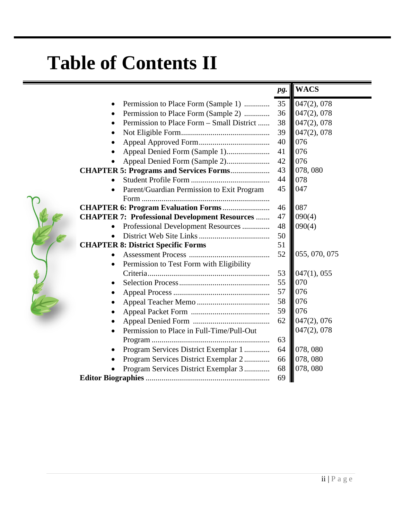## **Table of Contents II**

|                                                       | pg. | <b>WACS</b>   |
|-------------------------------------------------------|-----|---------------|
| Permission to Place Form (Sample 1)                   | 35  | 047(2), 078   |
| Permission to Place Form (Sample 2)                   | 36  | 047(2), 078   |
| Permission to Place Form – Small District             | 38  | 047(2), 078   |
|                                                       | 39  | 047(2), 078   |
|                                                       | 40  | 076           |
|                                                       | 41  | 076           |
| Appeal Denied Form (Sample 2)                         | 42  | 076           |
| <b>CHAPTER 5: Programs and Services Forms</b>         | 43  | 078,080       |
|                                                       | 44  | 078           |
| Parent/Guardian Permission to Exit Program            | 45  | 047           |
|                                                       |     |               |
| <b>CHAPTER 6: Program Evaluation Forms</b>            | 46  | 087           |
| <b>CHAPTER 7: Professional Development Resources </b> | 47  | 090(4)        |
| Professional Development Resources                    | 48  | 090(4)        |
|                                                       | 50  |               |
| <b>CHAPTER 8: District Specific Forms</b>             | 51  |               |
|                                                       | 52  | 055, 070, 075 |
| Permission to Test Form with Eligibility              |     |               |
|                                                       | 53  | 047(1), 055   |
|                                                       | 55  | 070           |
|                                                       | 57  | 076           |
|                                                       | 58  | 076           |
|                                                       | 59  | 076           |
|                                                       | 62  | 047(2), 076   |
| Permission to Place in Full-Time/Pull-Out             |     | 047(2), 078   |
|                                                       | 63  |               |
| Program Services District Exemplar 1                  | 64  | 078,080       |
| Program Services District Exemplar 2                  | 66  | 078,080       |
| Program Services District Exemplar 3                  | 68  | 078,080       |
|                                                       | 69  |               |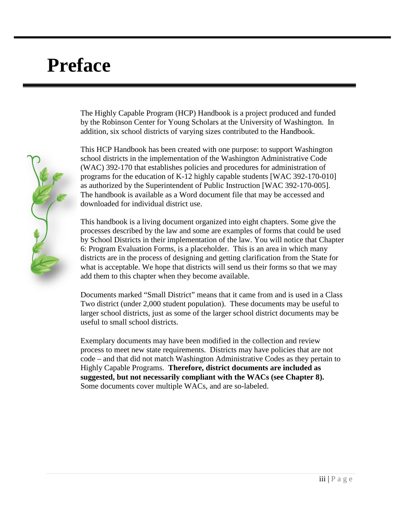## **Preface**

The Highly Capable Program (HCP) Handbook is a project produced and funded by the Robinson Center for Young Scholars at the University of Washington. In addition, six school districts of varying sizes contributed to the Handbook.

This HCP Handbook has been created with one purpose: to support Washington school districts in the implementation of the Washington Administrative Code (WAC) 392-170 that establishes policies and procedures for administration of programs for the education of K-12 highly capable students [WAC 392-170-010] as authorized by the Superintendent of Public Instruction [WAC 392-170-005]. The handbook is available as a Word document file that may be accessed and downloaded for individual district use.

This handbook is a living document organized into eight chapters. Some give the processes described by the law and some are examples of forms that could be used by School Districts in their implementation of the law. You will notice that Chapter 6: Program Evaluation Forms, is a placeholder. This is an area in which many districts are in the process of designing and getting clarification from the State for what is acceptable. We hope that districts will send us their forms so that we may add them to this chapter when they become available.

Documents marked "Small District" means that it came from and is used in a Class Two district (under 2,000 student population). These documents may be useful to larger school districts, just as some of the larger school district documents may be useful to small school districts.

Exemplary documents may have been modified in the collection and review process to meet new state requirements. Districts may have policies that are not code – and that did not match Washington Administrative Codes as they pertain to Highly Capable Programs. **Therefore, district documents are included as suggested, but not necessarily compliant with the WACs (see Chapter 8).** Some documents cover multiple WACs, and are so-labeled.

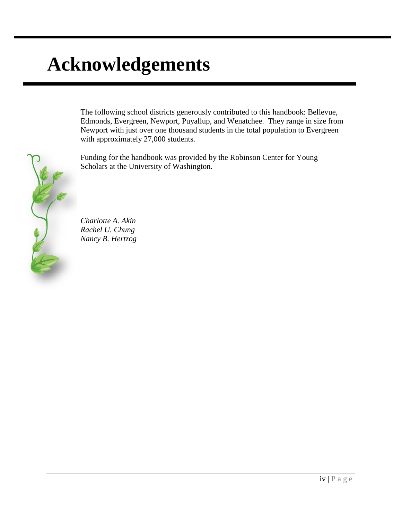## **Acknowledgements**

The following school districts generously contributed to this handbook: Bellevue, Edmonds, Evergreen, Newport, Puyallup, and Wenatchee. They range in size from Newport with just over one thousand students in the total population to Evergreen with approximately 27,000 students.

Funding for the handbook was provided by the Robinson Center for Young Scholars at the University of Washington.



*Charlotte A. Akin Rachel U. Chung Nancy B. Hertzog*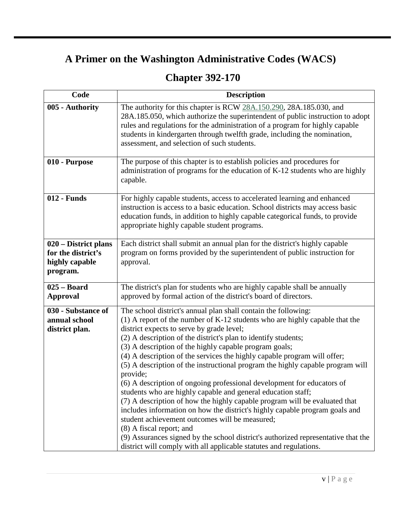### **A Primer on the Washington Administrative Codes (WACS)**

### **Chapter 392-170**

| Code                                                                     | <b>Description</b>                                                                                                                                                                                                                                                                                                                                                                                                                                                                                                                                                                                                                                                                                                                                                                                                                                                                                                                                                                                                                               |
|--------------------------------------------------------------------------|--------------------------------------------------------------------------------------------------------------------------------------------------------------------------------------------------------------------------------------------------------------------------------------------------------------------------------------------------------------------------------------------------------------------------------------------------------------------------------------------------------------------------------------------------------------------------------------------------------------------------------------------------------------------------------------------------------------------------------------------------------------------------------------------------------------------------------------------------------------------------------------------------------------------------------------------------------------------------------------------------------------------------------------------------|
| 005 - Authority                                                          | The authority for this chapter is RCW 28A.150.290, 28A.185.030, and<br>28A.185.050, which authorize the superintendent of public instruction to adopt<br>rules and regulations for the administration of a program for highly capable<br>students in kindergarten through twelfth grade, including the nomination,<br>assessment, and selection of such students.                                                                                                                                                                                                                                                                                                                                                                                                                                                                                                                                                                                                                                                                                |
| 010 - Purpose                                                            | The purpose of this chapter is to establish policies and procedures for<br>administration of programs for the education of K-12 students who are highly<br>capable.                                                                                                                                                                                                                                                                                                                                                                                                                                                                                                                                                                                                                                                                                                                                                                                                                                                                              |
| 012 - Funds                                                              | For highly capable students, access to accelerated learning and enhanced<br>instruction is access to a basic education. School districts may access basic<br>education funds, in addition to highly capable categorical funds, to provide<br>appropriate highly capable student programs.                                                                                                                                                                                                                                                                                                                                                                                                                                                                                                                                                                                                                                                                                                                                                        |
| 020 – District plans<br>for the district's<br>highly capable<br>program. | Each district shall submit an annual plan for the district's highly capable<br>program on forms provided by the superintendent of public instruction for<br>approval.                                                                                                                                                                                                                                                                                                                                                                                                                                                                                                                                                                                                                                                                                                                                                                                                                                                                            |
| $025 - Board$<br><b>Approval</b>                                         | The district's plan for students who are highly capable shall be annually<br>approved by formal action of the district's board of directors.                                                                                                                                                                                                                                                                                                                                                                                                                                                                                                                                                                                                                                                                                                                                                                                                                                                                                                     |
| 030 - Substance of<br>annual school<br>district plan.                    | The school district's annual plan shall contain the following:<br>(1) A report of the number of K-12 students who are highly capable that the<br>district expects to serve by grade level;<br>(2) A description of the district's plan to identify students;<br>(3) A description of the highly capable program goals;<br>(4) A description of the services the highly capable program will offer;<br>(5) A description of the instructional program the highly capable program will<br>provide;<br>(6) A description of ongoing professional development for educators of<br>students who are highly capable and general education staff;<br>(7) A description of how the highly capable program will be evaluated that<br>includes information on how the district's highly capable program goals and<br>student achievement outcomes will be measured;<br>(8) A fiscal report; and<br>(9) Assurances signed by the school district's authorized representative that the<br>district will comply with all applicable statutes and regulations. |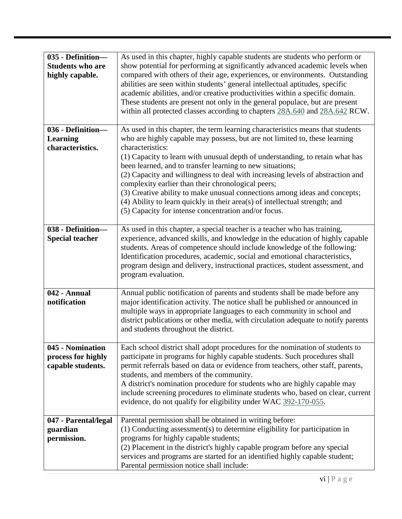| 035 - Definition-<br><b>Students who are</b><br>highly capable. | As used in this chapter, highly capable students are students who perform or<br>show potential for performing at significantly advanced academic levels when<br>compared with others of their age, experiences, or environments. Outstanding<br>abilities are seen within students' general intellectual aptitudes, specific<br>academic abilities, and/or creative productivities within a specific domain.<br>These students are present not only in the general populace, but are present<br>within all protected classes according to chapters 28A.640 and 28A.642 RCW.                                                                                                                 |
|-----------------------------------------------------------------|---------------------------------------------------------------------------------------------------------------------------------------------------------------------------------------------------------------------------------------------------------------------------------------------------------------------------------------------------------------------------------------------------------------------------------------------------------------------------------------------------------------------------------------------------------------------------------------------------------------------------------------------------------------------------------------------|
| 036 - Definition-<br><b>Learning</b><br>characteristics.        | As used in this chapter, the term learning characteristics means that students<br>who are highly capable may possess, but are not limited to, these learning<br>characteristics:<br>(1) Capacity to learn with unusual depth of understanding, to retain what has<br>been learned, and to transfer learning to new situations;<br>(2) Capacity and willingness to deal with increasing levels of abstraction and<br>complexity earlier than their chronological peers;<br>(3) Creative ability to make unusual connections among ideas and concepts;<br>(4) Ability to learn quickly in their area(s) of intellectual strength; and<br>(5) Capacity for intense concentration and/or focus. |
| 038 - Definition-<br><b>Special teacher</b>                     | As used in this chapter, a special teacher is a teacher who has training,<br>experience, advanced skills, and knowledge in the education of highly capable<br>students. Areas of competence should include knowledge of the following:<br>Identification procedures, academic, social and emotional characteristics,<br>program design and delivery, instructional practices, student assessment, and<br>program evaluation.                                                                                                                                                                                                                                                                |
| 042 - Annual<br>notification                                    | Annual public notification of parents and students shall be made before any<br>major identification activity. The notice shall be published or announced in<br>multiple ways in appropriate languages to each community in school and<br>district publications or other media, with circulation adequate to notify parents<br>and students throughout the district.                                                                                                                                                                                                                                                                                                                         |
| 045 - Nomination<br>process for highly<br>capable students.     | Each school district shall adopt procedures for the nomination of students to<br>participate in programs for highly capable students. Such procedures shall<br>permit referrals based on data or evidence from teachers, other staff, parents,<br>students, and members of the community.<br>A district's nomination procedure for students who are highly capable may<br>include screening procedures to eliminate students who, based on clear, current<br>evidence, do not qualify for eligibility under WAC 392-170-055.                                                                                                                                                                |
| 047 - Parental/legal<br>guardian<br>permission.                 | Parental permission shall be obtained in writing before:<br>(1) Conducting assessment(s) to determine eligibility for participation in<br>programs for highly capable students;<br>(2) Placement in the district's highly capable program before any special<br>services and programs are started for an identified highly capable student;<br>Parental permission notice shall include:                                                                                                                                                                                                                                                                                                    |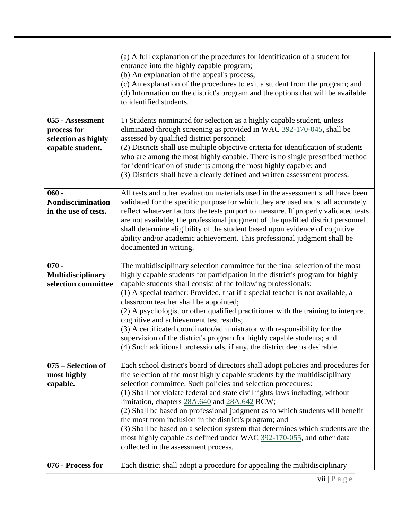|                                                                            | (a) A full explanation of the procedures for identification of a student for<br>entrance into the highly capable program;<br>(b) An explanation of the appeal's process;<br>(c) An explanation of the procedures to exit a student from the program; and<br>(d) Information on the district's program and the options that will be available<br>to identified students.                                                                                                                                                                                                                                                                                                                                                        |
|----------------------------------------------------------------------------|--------------------------------------------------------------------------------------------------------------------------------------------------------------------------------------------------------------------------------------------------------------------------------------------------------------------------------------------------------------------------------------------------------------------------------------------------------------------------------------------------------------------------------------------------------------------------------------------------------------------------------------------------------------------------------------------------------------------------------|
| 055 - Assessment<br>process for<br>selection as highly<br>capable student. | 1) Students nominated for selection as a highly capable student, unless<br>eliminated through screening as provided in WAC 392-170-045, shall be<br>assessed by qualified district personnel;<br>(2) Districts shall use multiple objective criteria for identification of students<br>who are among the most highly capable. There is no single prescribed method<br>for identification of students among the most highly capable; and<br>(3) Districts shall have a clearly defined and written assessment process.                                                                                                                                                                                                          |
| $060 -$<br><b>Nondiscrimination</b><br>in the use of tests.                | All tests and other evaluation materials used in the assessment shall have been<br>validated for the specific purpose for which they are used and shall accurately<br>reflect whatever factors the tests purport to measure. If properly validated tests<br>are not available, the professional judgment of the qualified district personnel<br>shall determine eligibility of the student based upon evidence of cognitive<br>ability and/or academic achievement. This professional judgment shall be<br>documented in writing.                                                                                                                                                                                              |
| $070 -$<br><b>Multidisciplinary</b><br>selection committee                 | The multidisciplinary selection committee for the final selection of the most<br>highly capable students for participation in the district's program for highly<br>capable students shall consist of the following professionals:<br>(1) A special teacher: Provided, that if a special teacher is not available, a<br>classroom teacher shall be appointed;<br>(2) A psychologist or other qualified practitioner with the training to interpret<br>cognitive and achievement test results;<br>(3) A certificated coordinator/administrator with responsibility for the<br>supervision of the district's program for highly capable students; and<br>(4) Such additional professionals, if any, the district deems desirable. |
| 075 – Selection of<br>most highly<br>capable.                              | Each school district's board of directors shall adopt policies and procedures for<br>the selection of the most highly capable students by the multidisciplinary<br>selection committee. Such policies and selection procedures:<br>(1) Shall not violate federal and state civil rights laws including, without<br>limitation, chapters 28A.640 and 28A.642 RCW;<br>(2) Shall be based on professional judgment as to which students will benefit<br>the most from inclusion in the district's program; and<br>(3) Shall be based on a selection system that determines which students are the<br>most highly capable as defined under WAC 392-170-055, and other data<br>collected in the assessment process.                 |
| 076 - Process for                                                          | Each district shall adopt a procedure for appealing the multidisciplinary                                                                                                                                                                                                                                                                                                                                                                                                                                                                                                                                                                                                                                                      |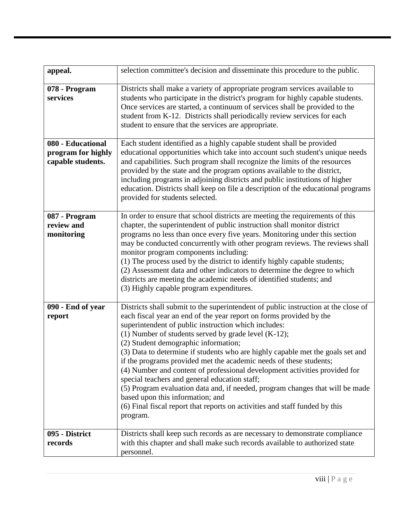| appeal.                                                      | selection committee's decision and disseminate this procedure to the public.                                                                                                                                                                                                                                                                                                                                                                                                                                                                                                                                                                                                                                                                                                                                                |
|--------------------------------------------------------------|-----------------------------------------------------------------------------------------------------------------------------------------------------------------------------------------------------------------------------------------------------------------------------------------------------------------------------------------------------------------------------------------------------------------------------------------------------------------------------------------------------------------------------------------------------------------------------------------------------------------------------------------------------------------------------------------------------------------------------------------------------------------------------------------------------------------------------|
| 078 - Program<br>services                                    | Districts shall make a variety of appropriate program services available to<br>students who participate in the district's program for highly capable students.<br>Once services are started, a continuum of services shall be provided to the<br>student from K-12. Districts shall periodically review services for each<br>student to ensure that the services are appropriate.                                                                                                                                                                                                                                                                                                                                                                                                                                           |
| 080 - Educational<br>program for highly<br>capable students. | Each student identified as a highly capable student shall be provided<br>educational opportunities which take into account such student's unique needs<br>and capabilities. Such program shall recognize the limits of the resources<br>provided by the state and the program options available to the district,<br>including programs in adjoining districts and public institutions of higher<br>education. Districts shall keep on file a description of the educational programs<br>provided for students selected.                                                                                                                                                                                                                                                                                                     |
| 087 - Program<br>review and<br>monitoring                    | In order to ensure that school districts are meeting the requirements of this<br>chapter, the superintendent of public instruction shall monitor district<br>programs no less than once every five years. Monitoring under this section<br>may be conducted concurrently with other program reviews. The reviews shall<br>monitor program components including:<br>(1) The process used by the district to identify highly capable students;<br>(2) Assessment data and other indicators to determine the degree to which<br>districts are meeting the academic needs of identified students; and<br>(3) Highly capable program expenditures.                                                                                                                                                                               |
| 090 - End of year<br>report                                  | Districts shall submit to the superintendent of public instruction at the close of<br>each fiscal year an end of the year report on forms provided by the<br>superintendent of public instruction which includes:<br>(1) Number of students served by grade level $(K-12)$ ;<br>(2) Student demographic information;<br>(3) Data to determine if students who are highly capable met the goals set and<br>if the programs provided met the academic needs of these students;<br>(4) Number and content of professional development activities provided for<br>special teachers and general education staff;<br>(5) Program evaluation data and, if needed, program changes that will be made<br>based upon this information; and<br>(6) Final fiscal report that reports on activities and staff funded by this<br>program. |
| 095 - District<br>records                                    | Districts shall keep such records as are necessary to demonstrate compliance<br>with this chapter and shall make such records available to authorized state<br>personnel.                                                                                                                                                                                                                                                                                                                                                                                                                                                                                                                                                                                                                                                   |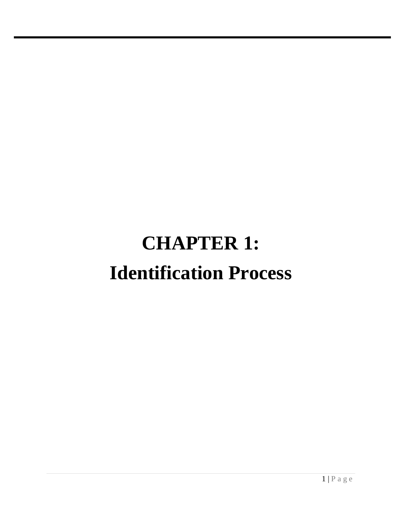## **CHAPTER 1: Identification Process**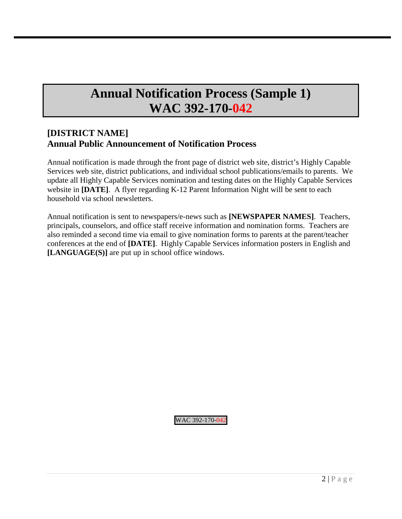## **Annual Notification Process (Sample 1) WAC 392-170-042**

### **[DISTRICT NAME] Annual Public Announcement of Notification Process**

Annual notification is made through the front page of district web site, district's Highly Capable Services web site, district publications, and individual school publications/emails to parents. We update all Highly Capable Services nomination and testing dates on the Highly Capable Services website in **[DATE]**. A flyer regarding K-12 Parent Information Night will be sent to each household via school newsletters.

Annual notification is sent to newspapers/e-news such as **[NEWSPAPER NAMES]**. Teachers, principals, counselors, and office staff receive information and nomination forms. Teachers are also reminded a second time via email to give nomination forms to parents at the parent/teacher conferences at the end of **[DATE]**. Highly Capable Services information posters in English and **[LANGUAGE(S)]** are put up in school office windows.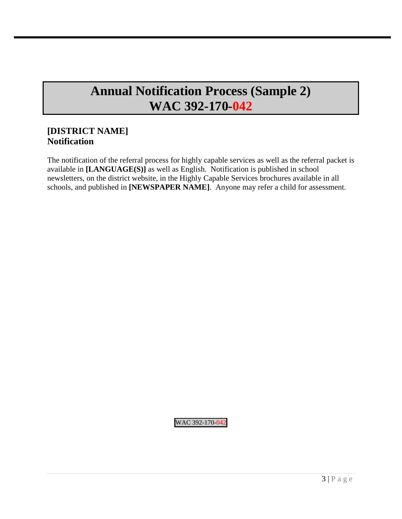## **Annual Notification Process (Sample 2) WAC 392-170-042**

### **[DISTRICT NAME] Notification**

The notification of the referral process for highly capable services as well as the referral packet is available in **[LANGUAGE(S)]** as well as English. Notification is published in school newsletters, on the district website, in the Highly Capable Services brochures available in all schools, and published in **[NEWSPAPER NAME]**. Anyone may refer a child for assessment.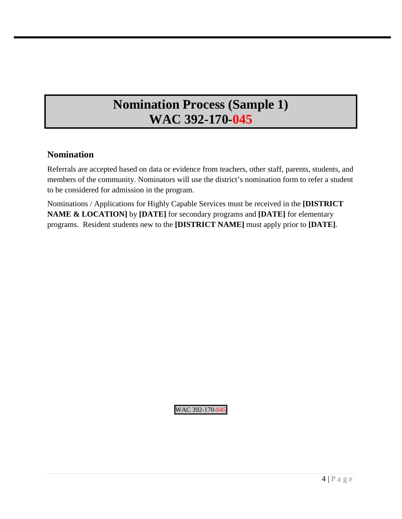## **Nomination Process (Sample 1) WAC 392-170-045**

### **Nomination**

Referrals are accepted based on data or evidence from teachers, other staff, parents, students, and members of the community. Nominators will use the district's nomination form to refer a student to be considered for admission in the program.

Nominations / Applications for Highly Capable Services must be received in the **[DISTRICT NAME & LOCATION]** by **[DATE]** for secondary programs and **[DATE]** for elementary programs. Resident students new to the **[DISTRICT NAME]** must apply prior to **[DATE]**.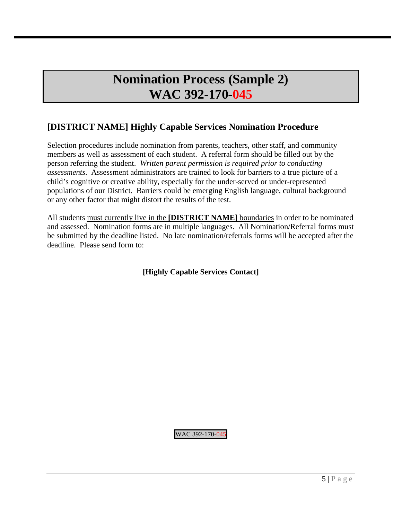## **Nomination Process (Sample 2) WAC 392-170-045**

### **[DISTRICT NAME] Highly Capable Services Nomination Procedure**

Selection procedures include nomination from parents, teachers, other staff, and community members as well as assessment of each student. A referral form should be filled out by the person referring the student. *Written parent permission is required prior to conducting assessments*. Assessment administrators are trained to look for barriers to a true picture of a child's cognitive or creative ability, especially for the under-served or under-represented populations of our District. Barriers could be emerging English language, cultural background or any other factor that might distort the results of the test.

All students must currently live in the **[DISTRICT NAME]** boundaries in order to be nominated and assessed. Nomination forms are in multiple languages. All Nomination/Referral forms must be submitted by the deadline listed. No late nomination/referrals forms will be accepted after the deadline. Please send form to:

**[Highly Capable Services Contact]**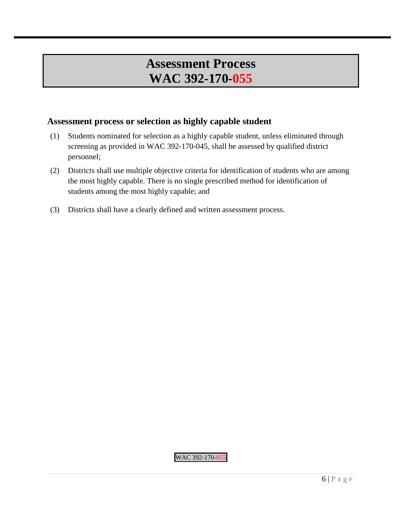## **Assessment Process WAC 392-170-055**

### **Assessment process or selection as highly capable student**

- (1) Students nominated for selection as a highly capable student, unless eliminated through screening as provided in WAC 392-170-045, shall be assessed by qualified district personnel;
- (2) Districts shall use multiple objective criteria for identification of students who are among the most highly capable. There is no single prescribed method for identification of students among the most highly capable; and
- (3) Districts shall have a clearly defined and written assessment process.

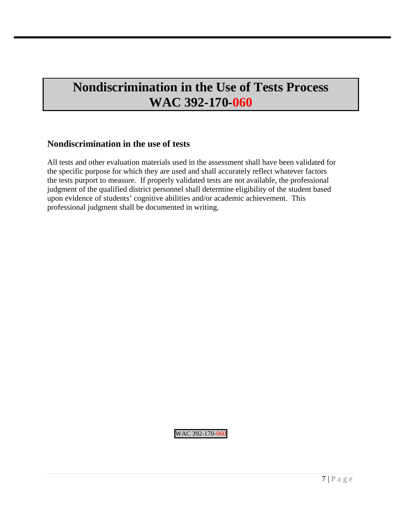## **Nondiscrimination in the Use of Tests Process WAC 392-170-060**

### **Nondiscrimination in the use of tests**

All tests and other evaluation materials used in the assessment shall have been validated for the specific purpose for which they are used and shall accurately reflect whatever factors the tests purport to measure. If properly validated tests are not available, the professional judgment of the qualified district personnel shall determine eligibility of the student based upon evidence of students' cognitive abilities and/or academic achievement. This professional judgment shall be documented in writing.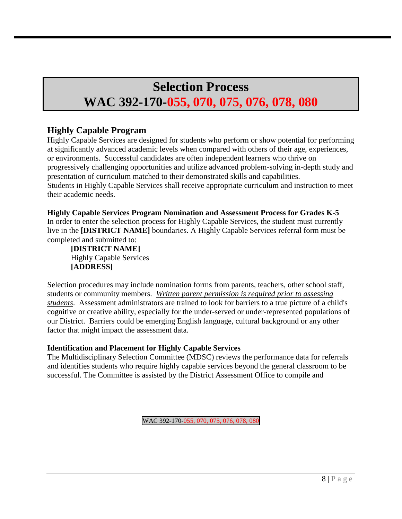## **Selection Process**

## **WAC 392-170-055, 070, 075, 076, 078, 080**

### **Highly Capable Program**

Highly Capable Services are designed for students who perform or show potential for performing at significantly advanced academic levels when compared with others of their age, experiences, or environments. Successful candidates are often independent learners who thrive on progressively challenging opportunities and utilize advanced problem-solving in-depth study and presentation of curriculum matched to their demonstrated skills and capabilities. Students in Highly Capable Services shall receive appropriate curriculum and instruction to meet their academic needs.

**Highly Capable Services Program Nomination and Assessment Process for Grades K-5**  In order to enter the selection process for Highly Capable Services, the student must currently live in the **[DISTRICT NAME]** boundaries. A Highly Capable Services referral form must be completed and submitted to:

**[DISTRICT NAME]** Highly Capable Services **[ADDRESS]**

Selection procedures may include nomination forms from parents, teachers, other school staff, students or community members. *Written parent permission is required prior to assessing students*. Assessment administrators are trained to look for barriers to a true picture of a child's cognitive or creative ability, especially for the under-served or under-represented populations of our District. Barriers could be emerging English language, cultural background or any other factor that might impact the assessment data.

### **Identification and Placement for Highly Capable Services**

The Multidisciplinary Selection Committee (MDSC) reviews the performance data for referrals and identifies students who require highly capable services beyond the general classroom to be successful. The Committee is assisted by the District Assessment Office to compile and

WAC 392-170-055, 070, 075, 076, 078, 080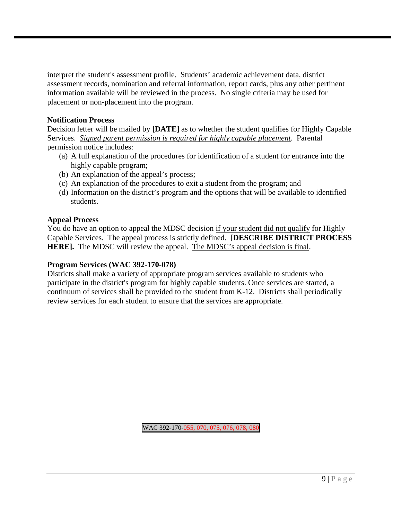interpret the student's assessment profile. Students' academic achievement data, district assessment records, nomination and referral information, report cards, plus any other pertinent information available will be reviewed in the process. No single criteria may be used for placement or non-placement into the program.

### **Notification Process**

Decision letter will be mailed by **[DATE]** as to whether the student qualifies for Highly Capable Services. *Signed parent permission is required for highly capable placement*. Parental permission notice includes:

- (a) A full explanation of the procedures for identification of a student for entrance into the highly capable program;
- (b) An explanation of the appeal's process;
- (c) An explanation of the procedures to exit a student from the program; and
- (d) Information on the district's program and the options that will be available to identified students.

### **Appeal Process**

You do have an option to appeal the MDSC decision if your student did not qualify for Highly Capable Services. The appeal process is strictly defined. [**DESCRIBE DISTRICT PROCESS HERE].** The MDSC will review the appeal. The MDSC's appeal decision is final.

#### **Program Services (WAC 392-170-078)**

Districts shall make a variety of appropriate program services available to students who participate in the district's program for highly capable students. Once services are started, a continuum of services shall be provided to the student from K-12. Districts shall periodically review services for each student to ensure that the services are appropriate.

WAC 392-170-055, 070, 075, 076, 078, 080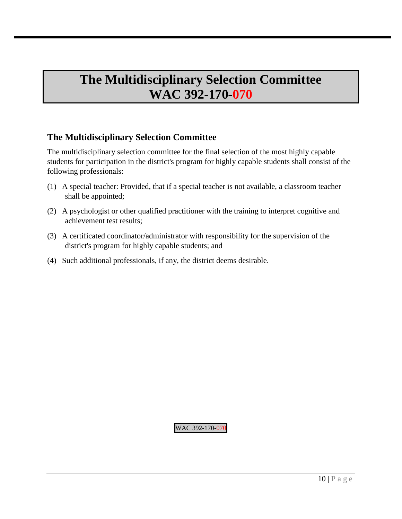## **The Multidisciplinary Selection Committee WAC 392-170-070**

### **The Multidisciplinary Selection Committee**

The multidisciplinary selection committee for the final selection of the most highly capable students for participation in the district's program for highly capable students shall consist of the following professionals:

- (1) A special teacher: Provided, that if a special teacher is not available, a classroom teacher shall be appointed;
- (2) A psychologist or other qualified practitioner with the training to interpret cognitive and achievement test results;
- (3) A certificated coordinator/administrator with responsibility for the supervision of the district's program for highly capable students; and
- (4) Such additional professionals, if any, the district deems desirable.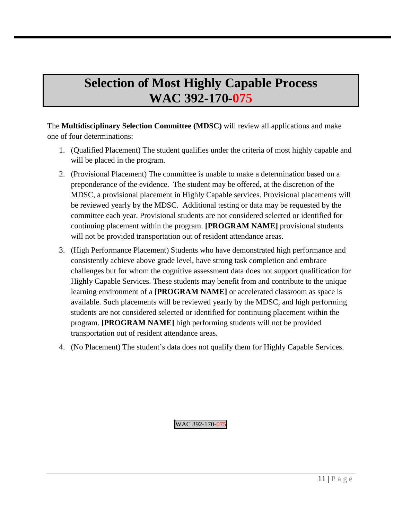## **Selection of Most Highly Capable Process WAC 392-170-075**

The **Multidisciplinary Selection Committee (MDSC)** will review all applications and make one of four determinations:

- 1. (Qualified Placement) The student qualifies under the criteria of most highly capable and will be placed in the program.
- 2. (Provisional Placement) The committee is unable to make a determination based on a preponderance of the evidence. The student may be offered, at the discretion of the MDSC, a provisional placement in Highly Capable services. Provisional placements will be reviewed yearly by the MDSC. Additional testing or data may be requested by the committee each year. Provisional students are not considered selected or identified for continuing placement within the program. **[PROGRAM NAME]** provisional students will not be provided transportation out of resident attendance areas.
- 3. (High Performance Placement) Students who have demonstrated high performance and consistently achieve above grade level, have strong task completion and embrace challenges but for whom the cognitive assessment data does not support qualification for Highly Capable Services. These students may benefit from and contribute to the unique learning environment of a **[PROGRAM NAME]** or accelerated classroom as space is available. Such placements will be reviewed yearly by the MDSC, and high performing students are not considered selected or identified for continuing placement within the program. **[PROGRAM NAME]** high performing students will not be provided transportation out of resident attendance areas.
- 4. (No Placement) The student's data does not qualify them for Highly Capable Services.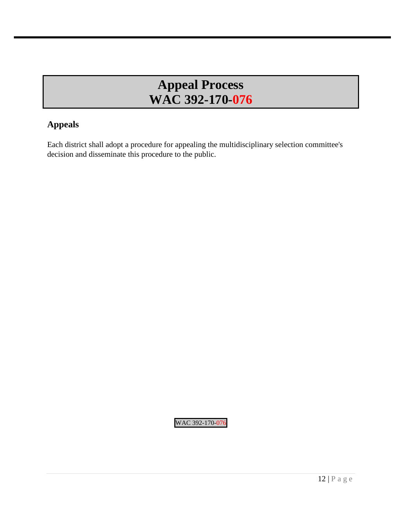## **Appeal Process WAC 392-170-076**

### **Appeals**

Each district shall adopt a procedure for appealing the multidisciplinary selection committee's decision and disseminate this procedure to the public.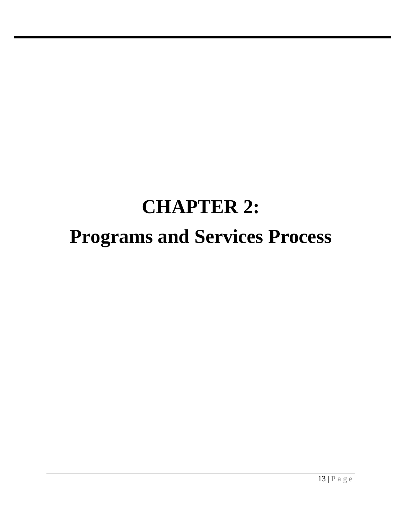# **CHAPTER 2: Programs and Services Process**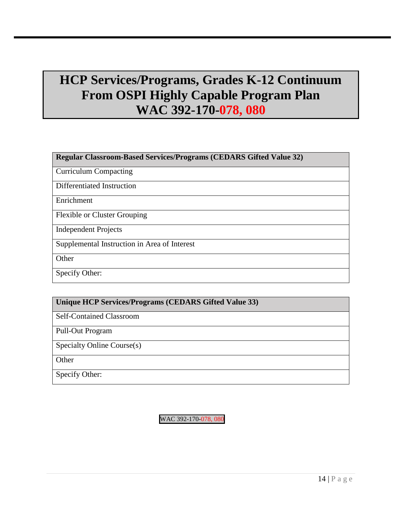## **HCP Services/Programs, Grades K-12 Continuum From OSPI Highly Capable Program Plan WAC 392-170-078, 080**

### **Regular Classroom-Based Services/Programs (CEDARS Gifted Value 32)**

Curriculum Compacting

Differentiated Instruction

Enrichment

Flexible or Cluster Grouping

Independent Projects

Supplemental Instruction in Area of Interest

**Other** 

Specify Other:

### **Unique HCP Services/Programs (CEDARS Gifted Value 33)**

Self-Contained Classroom

Pull-Out Program

Specialty Online Course(s)

**Other** 

Specify Other:

WAC 392-170-078, 080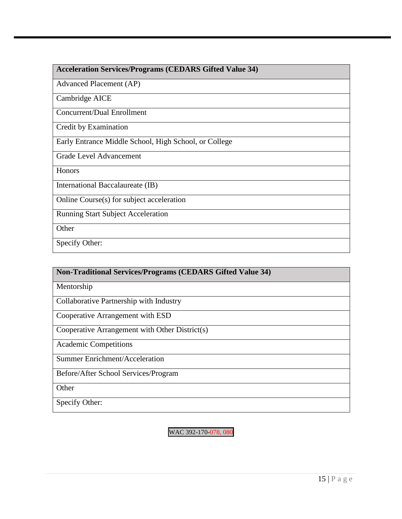### **Acceleration Services/Programs (CEDARS Gifted Value 34)**

Advanced Placement (AP)

Cambridge AICE

Concurrent/Dual Enrollment

Credit by Examination

Early Entrance Middle School, High School, or College

Grade Level Advancement

Honors

International Baccalaureate (IB)

Online Course(s) for subject acceleration

Running Start Subject Acceleration

**Other** 

Specify Other:

## **Non-Traditional Services/Programs (CEDARS Gifted Value 34)** Mentorship Collaborative Partnership with Industry Cooperative Arrangement with ESD Cooperative Arrangement with Other District(s) Academic Competitions Summer Enrichment/Acceleration Before/After School Services/Program **Other**

Specify Other:

WAC 392-170-078, 080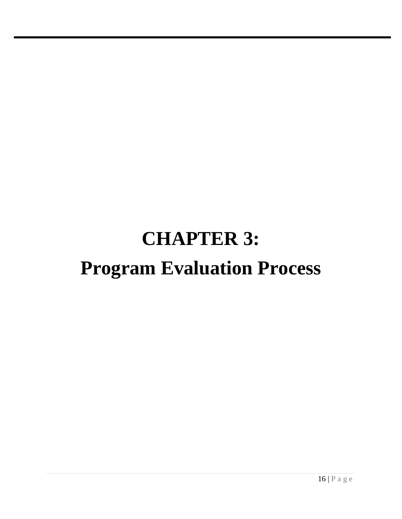# **CHAPTER 3: Program Evaluation Process**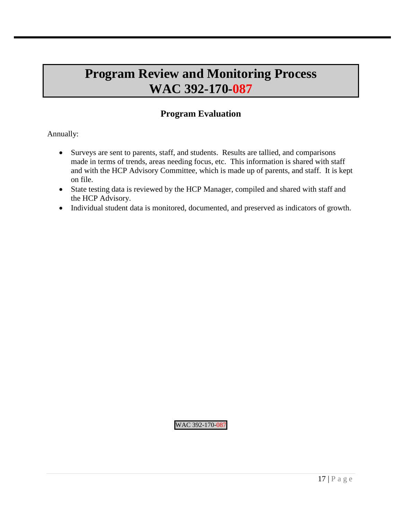## **Program Review and Monitoring Process WAC 392-170-087**

### **Program Evaluation**

Annually:

- Surveys are sent to parents, staff, and students. Results are tallied, and comparisons made in terms of trends, areas needing focus, etc. This information is shared with staff and with the HCP Advisory Committee, which is made up of parents, and staff. It is kept on file.
- State testing data is reviewed by the HCP Manager, compiled and shared with staff and the HCP Advisory.
- Individual student data is monitored, documented, and preserved as indicators of growth.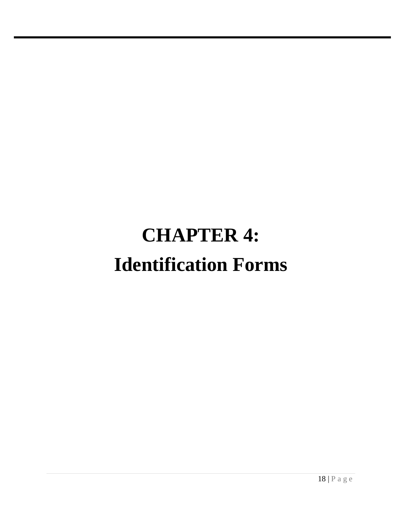# **CHAPTER 4: Identification Forms**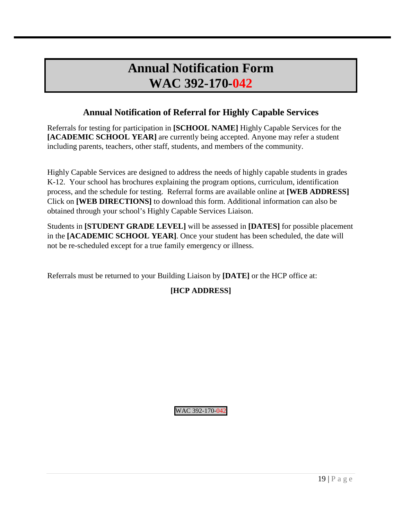### **Annual Notification Form WAC 392-170-042**

### **Annual Notification of Referral for Highly Capable Services**

Referrals for testing for participation in **[SCHOOL NAME]** Highly Capable Services for the **[ACADEMIC SCHOOL YEAR]** are currently being accepted. Anyone may refer a student including parents, teachers, other staff, students, and members of the community.

Highly Capable Services are designed to address the needs of highly capable students in grades K-12. Your school has brochures explaining the program options, curriculum, identification process, and the schedule for testing. Referral forms are available online at **[WEB ADDRESS]** Click on **[WEB DIRECTIONS]** to download this form. Additional information can also be obtained through your school's Highly Capable Services Liaison.

Students in **[STUDENT GRADE LEVEL]** will be assessed in **[DATES]** for possible placement in the **[ACADEMIC SCHOOL YEAR]**. Once your student has been scheduled, the date will not be re-scheduled except for a true family emergency or illness.

Referrals must be returned to your Building Liaison by **[DATE]** or the HCP office at:

### **[HCP ADDRESS]**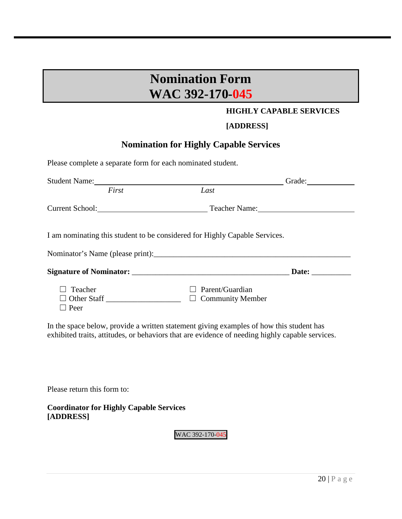## **Nomination Form WAC 392-170-045**

### **HIGHLY CAPABLE SERVICES**

### **[ADDRESS]**

### **Nomination for Highly Capable Services**

Please complete a separate form for each nominated student. Student Name: First *Last* Grade: *First Last*  Current School: Teacher Name: Teacher Name: I am nominating this student to be considered for Highly Capable Services. Nominator's Name (please print):\_\_\_\_\_\_\_\_\_\_\_\_\_\_\_\_\_\_\_\_\_\_\_\_\_\_\_\_\_\_\_\_\_\_\_\_\_\_\_\_\_\_\_\_\_\_\_\_\_\_ **Signature of Nominator:** \_\_\_\_\_\_\_\_\_\_\_\_\_\_\_\_\_\_\_\_\_\_\_\_\_\_\_\_\_\_\_\_\_\_\_\_\_\_\_\_ **Date:** \_\_\_\_\_\_\_\_\_\_ ☐ Teacher ☐ Parent/Guardian  $\Box$  Other Staff  $\Box$ ☐ Peer

In the space below, provide a written statement giving examples of how this student has exhibited traits, attitudes, or behaviors that are evidence of needing highly capable services.

Please return this form to:

**Coordinator for Highly Capable Services [ADDRESS]**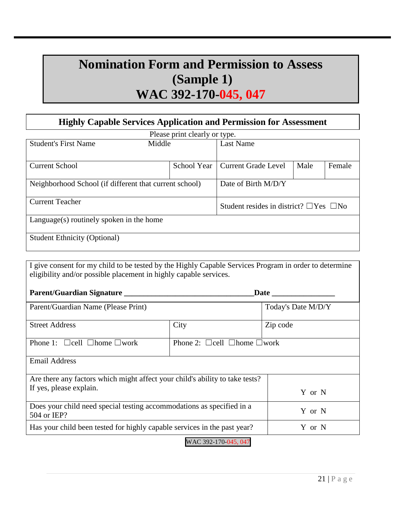## **Nomination Form and Permission to Assess (Sample 1) WAC 392-170-045, 047**

### **Highly Capable Services Application and Permission for Assessment**

| Please print clearly or type.                          |             |                                                   |      |        |
|--------------------------------------------------------|-------------|---------------------------------------------------|------|--------|
| <b>Student's First Name</b><br>Middle                  |             | <b>Last Name</b>                                  |      |        |
|                                                        |             |                                                   |      |        |
| <b>Current School</b>                                  | School Year | <b>Current Grade Level</b>                        | Male | Female |
|                                                        |             |                                                   |      |        |
| Neighborhood School (if different that current school) |             | Date of Birth M/D/Y                               |      |        |
|                                                        |             |                                                   |      |        |
| <b>Current Teacher</b>                                 |             | Student resides in district? $\Box$ Yes $\Box$ No |      |        |
|                                                        |             |                                                   |      |        |
| Language(s) routinely spoken in the home               |             |                                                   |      |        |
|                                                        |             |                                                   |      |        |
| <b>Student Ethnicity (Optional)</b>                    |             |                                                   |      |        |
|                                                        |             |                                                   |      |        |

I give consent for my child to be tested by the Highly Capable Services Program in order to determine eligibility and/or possible placement in highly capable services.

| Parent/Guardian Signature                                                                      |                                              |                    |
|------------------------------------------------------------------------------------------------|----------------------------------------------|--------------------|
| Parent/Guardian Name (Please Print)                                                            |                                              | Today's Date M/D/Y |
| <b>Street Address</b>                                                                          | City                                         | Zip code           |
| Phone 1: $\Box$ cell $\Box$ home $\Box$ work                                                   | Phone 2: $\Box$ cell $\Box$ home $\Box$ work |                    |
| <b>Email Address</b>                                                                           |                                              |                    |
| Are there any factors which might affect your child's ability to take tests?                   |                                              |                    |
| If yes, please explain.                                                                        |                                              | Y or N             |
| Does your child need special testing accommodations as specified in a<br>Y or N<br>504 or IEP? |                                              |                    |
| Has your child been tested for highly capable services in the past year?<br>Y or N             |                                              |                    |
|                                                                                                |                                              |                    |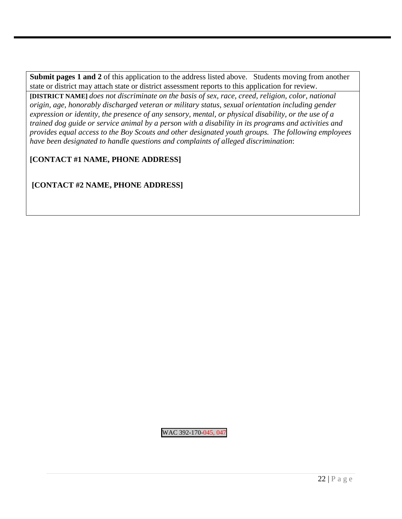**Submit pages 1 and 2** of this application to the address listed above. Students moving from another state or district may attach state or district assessment reports to this application for review.

**[DISTRICT NAME]** *does not discriminate on the basis of sex, race, creed, religion, color, national origin, age, honorably discharged veteran or military status, sexual orientation including gender expression or identity, the presence of any sensory, mental, or physical disability, or the use of a trained dog guide or service animal by a person with a disability in its programs and activities and provides equal access to the Boy Scouts and other designated youth groups. The following employees have been designated to handle questions and complaints of alleged discrimination*:

### **[CONTACT #1 NAME, PHONE ADDRESS]**

**[CONTACT #2 NAME, PHONE ADDRESS]**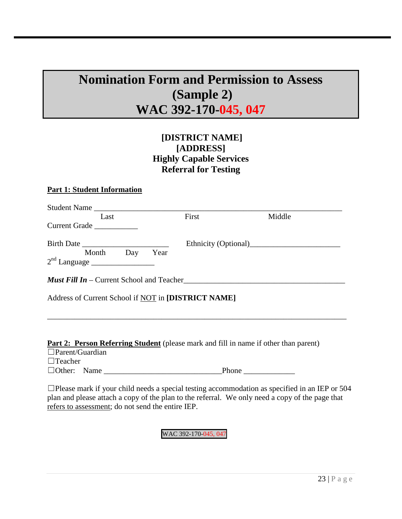## **Nomination Form and Permission to Assess (Sample 2) WAC 392-170-045, 047**

### **[DISTRICT NAME] [ADDRESS] Highly Capable Services Referral for Testing**

### **Part 1: Student Information**

| Student Name                                        |                                                         |        |  |
|-----------------------------------------------------|---------------------------------------------------------|--------|--|
| Last                                                | First                                                   | Middle |  |
| Current Grade                                       |                                                         |        |  |
| Month Day<br>$2nd$ Language $\qquad$                | Year                                                    |        |  |
|                                                     | <b><i>Must Fill In –</i></b> Current School and Teacher |        |  |
| Address of Current School if NOT in [DISTRICT NAME] |                                                         |        |  |

\_\_\_\_\_\_\_\_\_\_\_\_\_\_\_\_\_\_\_\_\_\_\_\_\_\_\_\_\_\_\_\_\_\_\_\_\_\_\_\_\_\_\_\_\_\_\_\_\_\_\_\_\_\_\_\_\_\_\_\_\_\_\_\_\_\_\_\_\_\_\_\_\_\_\_\_

#### **Part 2: Person Referring Student** (please mark and fill in name if other than parent)

| $\Box$ Parent/Guardian |       |  |
|------------------------|-------|--|
| $\Box$ Teacher         |       |  |
| $\Box$ Other: Name     | Phone |  |

 $\Box$ Please mark if your child needs a special testing accommodation as specified in an IEP or 504 plan and please attach a copy of the plan to the referral. We only need a copy of the page that refers to assessment; do not send the entire IEP.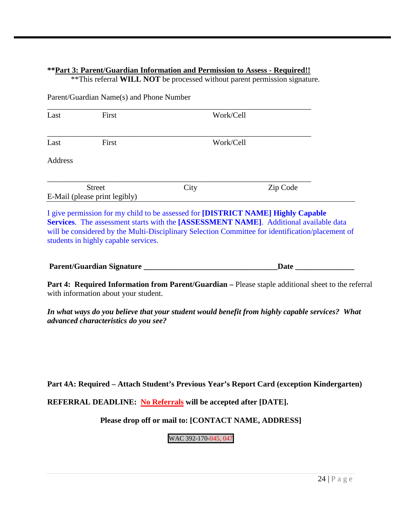### **\*\*Part 3: Parent/Guardian Information and Permission to Assess - Required!!**

\*\*This referral **WILL NOT** be processed without parent permission signature.

Parent/Guardian Name(s) and Phone Number

| Last    | First                         |      | Work/Cell |
|---------|-------------------------------|------|-----------|
| Last    | First                         |      | Work/Cell |
| Address |                               |      |           |
|         | <b>Street</b>                 | City | Zip Code  |
|         | E-Mail (please print legibly) |      |           |

I give permission for my child to be assessed for **[DISTRICT NAME] Highly Capable Services**. The assessment starts with the **[ASSESSMENT NAME]**. Additional available data will be considered by the Multi-Disciplinary Selection Committee for identification/placement of students in highly capable services.

| Parent/Guardian Signature |  |
|---------------------------|--|
|---------------------------|--|

**Part 4: Required Information from Parent/Guardian –** Please staple additional sheet to the referral with information about your student.

*In what ways do you believe that your student would benefit from highly capable services? What advanced characteristics do you see?* 

**Part 4A: Required – Attach Student's Previous Year's Report Card (exception Kindergarten)**

**REFERRAL DEADLINE: No Referrals will be accepted after [DATE].**

### **Please drop off or mail to: [CONTACT NAME, ADDRESS]**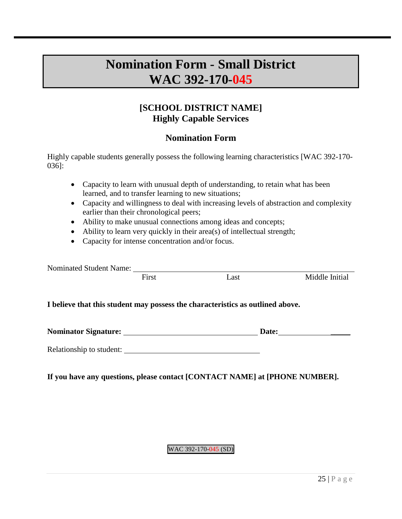## **Nomination Form - Small District WAC 392-170-045**

### **[SCHOOL DISTRICT NAME] Highly Capable Services**

### **Nomination Form**

Highly capable students generally possess the following learning characteristics [WAC 392-170- 036]:

- Capacity to learn with unusual depth of understanding, to retain what has been learned, and to transfer learning to new situations;
- Capacity and willingness to deal with increasing levels of abstraction and complexity earlier than their chronological peers;
- Ability to make unusual connections among ideas and concepts;
- Ability to learn very quickly in their area(s) of intellectual strength;
- Capacity for intense concentration and/or focus.

| <b>Nominated Student Name:</b> |       |                                                                                |                |
|--------------------------------|-------|--------------------------------------------------------------------------------|----------------|
|                                | First | Last                                                                           | Middle Initial |
|                                |       | I believe that this student may possess the characteristics as outlined above. |                |
| Nominator Signature:           |       | Date:                                                                          |                |
| Relationship to student:       |       |                                                                                |                |

### **If you have any questions, please contact [CONTACT NAME] at [PHONE NUMBER].**

### WAC 392-170-045 (SD)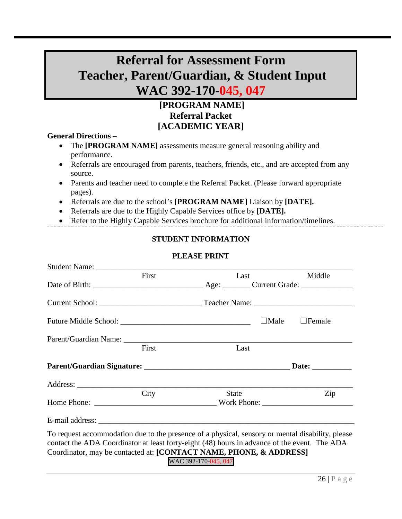## **Referral for Assessment Form Teacher, Parent/Guardian, & Student Input WAC 392-170-045, 047**

### **[PROGRAM NAME] Referral Packet [ACADEMIC YEAR]**

#### **General Directions** –

- The **[PROGRAM NAME]** assessments measure general reasoning ability and performance.
- Referrals are encouraged from parents, teachers, friends, etc., and are accepted from any source.
- Parents and teacher need to complete the Referral Packet. (Please forward appropriate pages).
- Referrals are due to the school's **[PROGRAM NAME]** Liaison by **[DATE].**
- Referrals are due to the Highly Capable Services office by **[DATE].**
- Refer to the Highly Capable Services brochure for additional information/timelines.

### **STUDENT INFORMATION**

### **PLEASE PRINT**

|                                                                                                                                                                                                                                                                        | First | Last                 |             | Middle        |
|------------------------------------------------------------------------------------------------------------------------------------------------------------------------------------------------------------------------------------------------------------------------|-------|----------------------|-------------|---------------|
|                                                                                                                                                                                                                                                                        |       |                      |             |               |
|                                                                                                                                                                                                                                                                        |       |                      |             |               |
|                                                                                                                                                                                                                                                                        |       |                      | $\Box$ Male | $\Box$ Female |
|                                                                                                                                                                                                                                                                        |       |                      |             |               |
|                                                                                                                                                                                                                                                                        | First | Last                 |             |               |
|                                                                                                                                                                                                                                                                        |       |                      |             |               |
|                                                                                                                                                                                                                                                                        |       |                      |             |               |
|                                                                                                                                                                                                                                                                        | City  | <b>State</b>         |             | Zip           |
|                                                                                                                                                                                                                                                                        |       |                      |             |               |
| To request accommodation due to the presence of a physical, sensory or mental disability, please<br>contact the ADA Coordinator at least forty-eight (48) hours in advance of the event. The ADA<br>Coordinator, may be contacted at: [CONTACT NAME, PHONE, & ADDRESS] |       | WAC 392-170-045, 047 |             |               |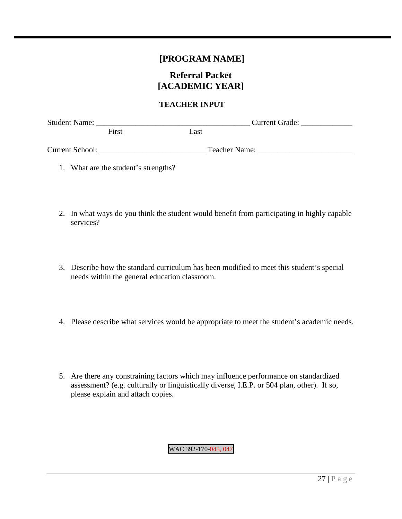### **[PROGRAM NAME]**

### **Referral Packet [ACADEMIC YEAR]**

### **TEACHER INPUT**

| <b>Student Name:</b>   |       | <b>Current Grade:</b> |  |  |
|------------------------|-------|-----------------------|--|--|
|                        | First | Last                  |  |  |
| <b>Current School:</b> |       | Teacher Name:         |  |  |

- 1. What are the student's strengths?
- 2. In what ways do you think the student would benefit from participating in highly capable services?
- 3. Describe how the standard curriculum has been modified to meet this student's special needs within the general education classroom.
- 4. Please describe what services would be appropriate to meet the student's academic needs.
- 5. Are there any constraining factors which may influence performance on standardized assessment? (e.g. culturally or linguistically diverse, I.E.P. or 504 plan, other). If so, please explain and attach copies.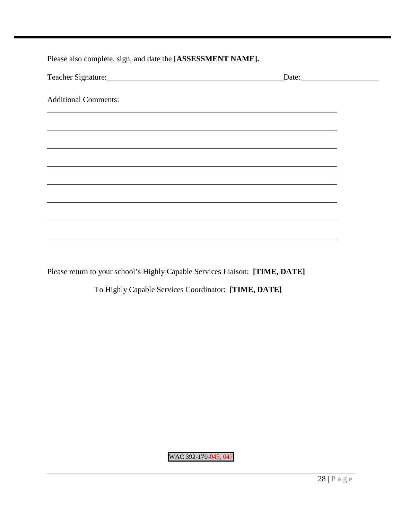Please also complete, sign, and date the **[ASSESSMENT NAME].**

| Teacher Signature:          |  |
|-----------------------------|--|
|                             |  |
| <b>Additional Comments:</b> |  |
|                             |  |
|                             |  |
|                             |  |
|                             |  |
|                             |  |
|                             |  |
|                             |  |
|                             |  |
|                             |  |
|                             |  |
|                             |  |
|                             |  |
|                             |  |

Please return to your school's Highly Capable Services Liaison: **[TIME, DATE]**

To Highly Capable Services Coordinator: **[TIME, DATE]**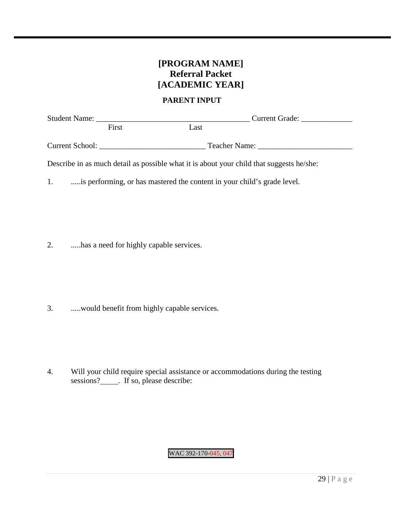## **[PROGRAM NAME] Referral Packet [ACADEMIC YEAR]**

### **PARENT INPUT**

| <b>Student Name:</b> |       | <b>Current Grade:</b> |  |  |  |
|----------------------|-------|-----------------------|--|--|--|
|                      | First | Last                  |  |  |  |
| Current School:      |       | Teacher Name:         |  |  |  |

Describe in as much detail as possible what it is about your child that suggests he/she:

1. .....is performing, or has mastered the content in your child's grade level.

2. .....has a need for highly capable services.

3. .....would benefit from highly capable services.

4. Will your child require special assistance or accommodations during the testing sessions?\_\_\_\_\_. If so, please describe: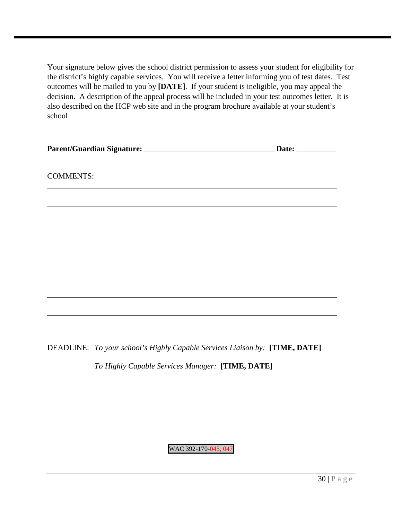Your signature below gives the school district permission to assess your student for eligibility for the district's highly capable services. You will receive a letter informing you of test dates. Test outcomes will be mailed to you by **[DATE]**. If your student is ineligible, you may appeal the decision. A description of the appeal process will be included in your test outcomes letter. It is also described on the HCP web site and in the program brochure available at your student's school

|                  | Date: $\qquad \qquad$ |  |  |
|------------------|-----------------------|--|--|
|                  |                       |  |  |
| <b>COMMENTS:</b> |                       |  |  |
|                  |                       |  |  |
|                  |                       |  |  |
|                  |                       |  |  |
|                  |                       |  |  |
|                  |                       |  |  |
|                  |                       |  |  |
|                  |                       |  |  |
|                  |                       |  |  |
|                  |                       |  |  |

DEADLINE: *To your school's Highly Capable Services Liaison by:* **[TIME, DATE]**

*To Highly Capable Services Manager:* **[TIME, DATE]**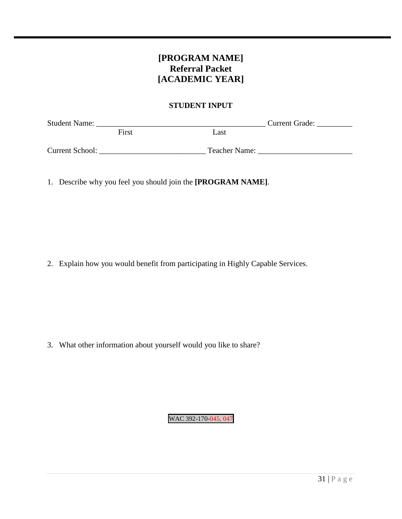## **[PROGRAM NAME] Referral Packet [ACADEMIC YEAR]**

### **STUDENT INPUT**

| <b>Student Name:</b>   |       |               | <b>Current Grade:</b> |
|------------------------|-------|---------------|-----------------------|
|                        | First | Last          |                       |
| <b>Current School:</b> |       | Teacher Name: |                       |

1. Describe why you feel you should join the **[PROGRAM NAME]**.

2. Explain how you would benefit from participating in Highly Capable Services.

3. What other information about yourself would you like to share?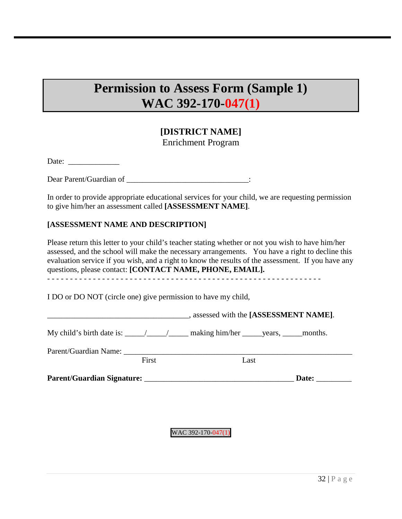# **Permission to Assess Form (Sample 1) WAC 392-170-047(1)**

## **[DISTRICT NAME]** Enrichment Program

Date: \_\_\_\_\_\_\_\_\_\_\_\_\_

Dear Parent/Guardian of \_\_\_\_\_\_\_\_\_\_\_\_\_\_\_\_\_\_\_\_\_\_\_\_\_\_\_\_\_\_\_:

In order to provide appropriate educational services for your child, we are requesting permission to give him/her an assessment called **[ASSESSMENT NAME]**.

### **[ASSESSMENT NAME AND DESCRIPTION]**

Please return this letter to your child's teacher stating whether or not you wish to have him/her assessed, and the school will make the necessary arrangements. You have a right to decline this evaluation service if you wish, and a right to know the results of the assessment. If you have any questions, please contact: **[CONTACT NAME, PHONE, EMAIL].**

- - - - - - - - - - - - - - - - - - - - - - - - - - - - - - - - - - - - - - - - - - - - - - - - - - - - - - - - - - - -

I DO or DO NOT (circle one) give permission to have my child,

|                       |       | , assessed with the [ASSESSMENT NAME].                                                                                                                                                                                                                                                                                                                                                           |  |
|-----------------------|-------|--------------------------------------------------------------------------------------------------------------------------------------------------------------------------------------------------------------------------------------------------------------------------------------------------------------------------------------------------------------------------------------------------|--|
|                       |       | My child's birth date is: $\frac{1}{\sqrt{1-\frac{1}{1-\frac{1}{1-\frac{1}{1-\frac{1}{1-\frac{1}{1-\frac{1}{1-\frac{1}{1-\frac{1}{1-\frac{1}{1-\frac{1}{1-\frac{1}{1-\frac{1}{1-\frac{1}{1-\frac{1}{1-\frac{1}{1-\frac{1}{1-\frac{1}{1-\frac{1}{1-\frac{1}{1-\frac{1}{1-\frac{1}{1-\frac{1}{1-\frac{1}{1-\frac{1}{1-\frac{1}{1-\frac{1}{1-\frac{1}{1-\frac{1}{1-\frac{1}{1-\frac{1}{1-\frac{1}{$ |  |
| Parent/Guardian Name: |       |                                                                                                                                                                                                                                                                                                                                                                                                  |  |
|                       | First | Last                                                                                                                                                                                                                                                                                                                                                                                             |  |
|                       |       | Parent/Guardian Signature:<br>Date:                                                                                                                                                                                                                                                                                                                                                              |  |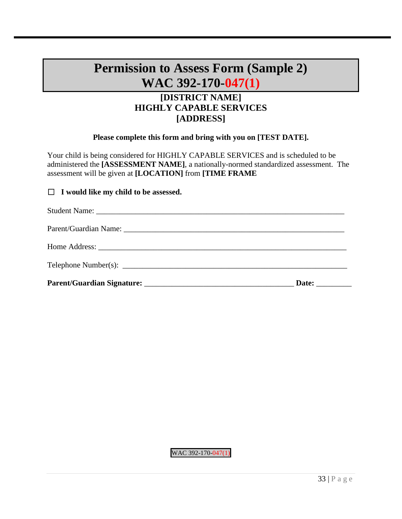# **Permission to Assess Form (Sample 2) WAC 392-170-047(1)**

## **[DISTRICT NAME] HIGHLY CAPABLE SERVICES [ADDRESS]**

### **Please complete this form and bring with you on [TEST DATE].**

Your child is being considered for HIGHLY CAPABLE SERVICES and is scheduled to be administered the **[ASSESSMENT NAME]**, a nationally-normed standardized assessment. The assessment will be given at **[LOCATION]** from **[TIME FRAME**

### ☐ **I would like my child to be assessed.**

| Date: |
|-------|
|       |
|       |
|       |
|       |

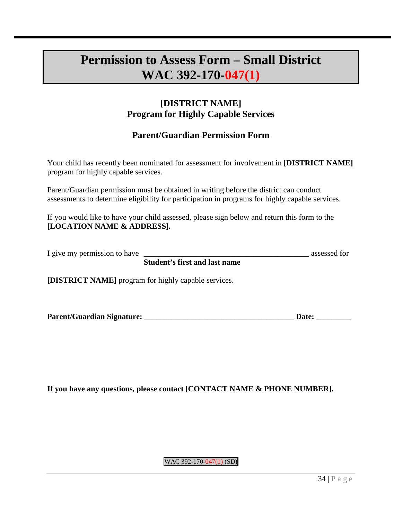# **Permission to Assess Form – Small District WAC 392-170-047(1)**

## **[DISTRICT NAME] Program for Highly Capable Services**

## **Parent/Guardian Permission Form**

Your child has recently been nominated for assessment for involvement in **[DISTRICT NAME]** program for highly capable services.

Parent/Guardian permission must be obtained in writing before the district can conduct assessments to determine eligibility for participation in programs for highly capable services.

If you would like to have your child assessed, please sign below and return this form to the **[LOCATION NAME & ADDRESS].**

| I give my permission to have |                                      | assessed for |
|------------------------------|--------------------------------------|--------------|
|                              | <b>Student's first and last name</b> |              |

**[DISTRICT NAME]** program for highly capable services.

| Parent/Guardian Signature: | <b>Date:</b> |  |
|----------------------------|--------------|--|
|                            |              |  |

**If you have any questions, please contact [CONTACT NAME & PHONE NUMBER].**

WAC 392-170-047(1) (SD)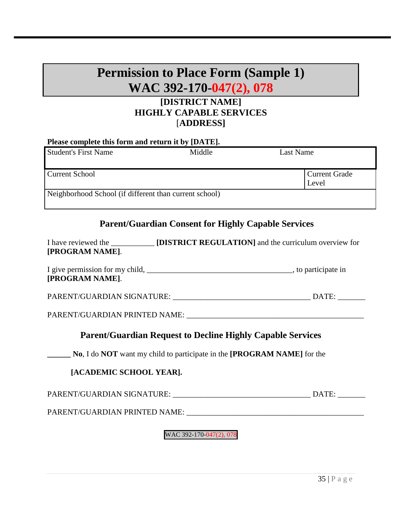# **Permission to Place Form (Sample 1) WAC 392-170-047(2), 078**

## **[DISTRICT NAME] HIGHLY CAPABLE SERVICES** [**ADDRESS]**

| Please complete this form and return it by [DATE].     |        |                               |  |
|--------------------------------------------------------|--------|-------------------------------|--|
| <b>Student's First Name</b>                            | Middle | Last Name                     |  |
| <b>Current School</b>                                  |        | <b>Current Grade</b><br>Level |  |
| Neighborhood School (if different than current school) |        |                               |  |

### **Parent/Guardian Consent for Highly Capable Services**

| I have reviewed the | <b>[DISTRICT REGULATION]</b> and the curriculum overview for |
|---------------------|--------------------------------------------------------------|
| [PROGRAM NAME].     |                                                              |

| I give permission for my child, | , to participate in |
|---------------------------------|---------------------|
| [PROGRAM NAME].                 |                     |

PARENT/GUARDIAN SIGNATURE:  $\blacksquare$ 

PARENT/GUARDIAN PRINTED NAME: \_\_\_\_\_\_\_\_\_\_\_\_\_\_\_\_\_\_\_\_\_\_\_\_\_\_\_\_\_\_\_\_\_\_\_\_\_\_\_\_\_\_\_\_\_

## **Parent/Guardian Request to Decline Highly Capable Services**

**\_\_\_\_\_\_ No**, I do **NOT** want my child to participate in the **[PROGRAM NAME]** for the

### **[ACADEMIC SCHOOL YEAR].**

PARENT/GUARDIAN SIGNATURE: \_\_\_\_\_\_\_\_\_\_\_\_\_\_\_\_\_\_\_\_\_\_\_\_\_\_\_\_\_\_\_\_\_\_\_ DATE: \_\_\_\_\_\_\_

PARENT/GUARDIAN PRINTED NAME: \_\_\_\_\_\_\_\_\_\_\_\_\_\_\_\_\_\_\_\_\_\_\_\_\_\_\_\_\_\_\_\_\_\_\_\_\_\_\_\_\_\_\_\_\_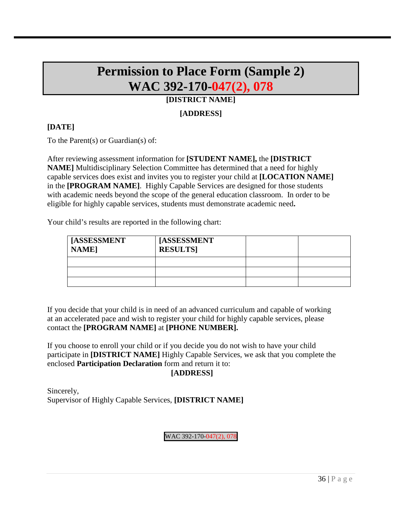# **Permission to Place Form (Sample 2) WAC 392-170-047(2), 078**

### **[DISTRICT NAME]**

### **[ADDRESS]**

### **[DATE]**

To the Parent(s) or Guardian(s) of:

After reviewing assessment information for **[STUDENT NAME],** the **[DISTRICT NAME]** Multidisciplinary Selection Committee has determined that a need for highly capable services does exist and invites you to register your child at **[LOCATION NAME]** in the **[PROGRAM NAME]**. Highly Capable Services are designed for those students with academic needs beyond the scope of the general education classroom. In order to be eligible for highly capable services, students must demonstrate academic need**.** 

Your child's results are reported in the following chart:

| <b>ASSESSMENT</b><br><b>NAME</b> | [ASSESSMENT<br><b>RESULTS</b> |  |
|----------------------------------|-------------------------------|--|
|                                  |                               |  |
|                                  |                               |  |
|                                  |                               |  |

If you decide that your child is in need of an advanced curriculum and capable of working at an accelerated pace and wish to register your child for highly capable services, please contact the **[PROGRAM NAME]** at **[PHONE NUMBER].** 

If you choose to enroll your child or if you decide you do not wish to have your child participate in **[DISTRICT NAME]** Highly Capable Services, we ask that you complete the enclosed **Participation Declaration** form and return it to: **[ADDRESS]**

## Sincerely, Supervisor of Highly Capable Services, **[DISTRICT NAME]**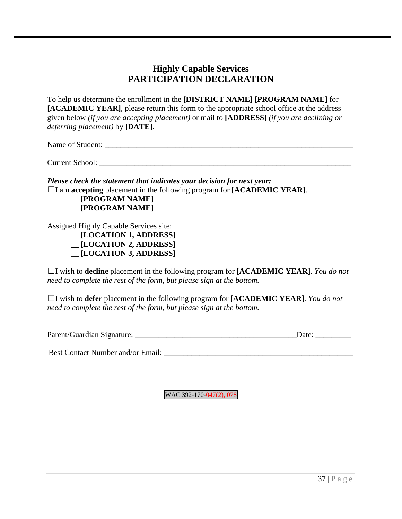## **Highly Capable Services PARTICIPATION DECLARATION**

To help us determine the enrollment in the **[DISTRICT NAME] [PROGRAM NAME]** for **[ACADEMIC YEAR]**, please return this form to the appropriate school office at the address given below *(if you are accepting placement)* or mail to **[ADDRESS]** *(if you are declining or deferring placement)* by **[DATE]**.

Name of Student: \_\_\_\_\_\_\_\_\_\_\_\_\_\_\_\_\_\_\_\_\_\_\_\_\_\_\_\_\_\_\_\_\_\_\_\_\_\_\_\_\_\_\_\_\_\_\_\_\_\_\_\_\_\_\_\_\_\_\_\_\_\_\_

Current School:

*Please check the statement that indicates your decision for next year:*  ☐I am **accepting** placement in the following program for **[ACADEMIC YEAR]**.



Assigned Highly Capable Services site:

\_\_ **[LOCATION 1, ADDRESS] \_\_ [LOCATION 2, ADDRESS]** \_\_ **[LOCATION 3, ADDRESS]**

☐I wish to **decline** placement in the following program for **[ACADEMIC YEAR]**. *You do not need to complete the rest of the form, but please sign at the bottom.* 

☐I wish to **defer** placement in the following program for **[ACADEMIC YEAR]**. *You do not need to complete the rest of the form, but please sign at the bottom.* 

| Parent/Guardian Signature: | )ate: |  |
|----------------------------|-------|--|
|                            |       |  |

Best Contact Number and/or Email: \_\_\_\_\_\_\_\_\_\_\_\_\_\_\_\_\_\_\_\_\_\_\_\_\_\_\_\_\_\_\_\_\_\_\_\_\_\_\_\_\_\_\_\_\_\_\_\_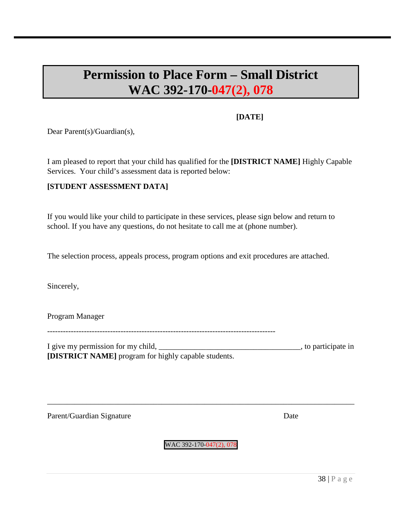# **Permission to Place Form – Small District WAC 392-170-047(2), 078**

### **[DATE]**

Dear Parent(s)/Guardian(s),

I am pleased to report that your child has qualified for the **[DISTRICT NAME]** Highly Capable Services. Your child's assessment data is reported below:

### **[STUDENT ASSESSMENT DATA]**

If you would like your child to participate in these services, please sign below and return to school. If you have any questions, do not hesitate to call me at (phone number).

The selection process, appeals process, program options and exit procedures are attached.

Sincerely,

Program Manager

I give my permission for my child, \_\_\_\_\_\_\_\_\_\_\_\_\_\_\_\_\_\_\_\_\_\_\_\_\_\_\_\_\_\_\_\_\_\_\_\_, to participate in **[DISTRICT NAME]** program for highly capable students.

Parent/Guardian Signature Date

WAC 392-170-047(2), 078

\_\_\_\_\_\_\_\_\_\_\_\_\_\_\_\_\_\_\_\_\_\_\_\_\_\_\_\_\_\_\_\_\_\_\_\_\_\_\_\_\_\_\_\_\_\_\_\_\_\_\_\_\_\_\_\_\_\_\_\_\_\_\_\_\_\_\_\_\_\_\_\_\_\_\_\_\_\_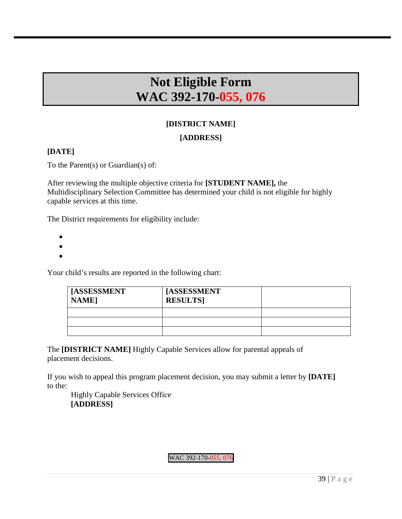# **Not Eligible Form WAC 392-170-055, 076**

## **[DISTRICT NAME]**

### **[ADDRESS]**

### **[DATE]**

To the Parent(s) or Guardian(s) of:

After reviewing the multiple objective criteria for **[STUDENT NAME],** the Multidisciplinary Selection Committee has determined your child is not eligible for highly capable services at this time.

The District requirements for eligibility include:

- •
- •
- •

Your child's results are reported in the following chart:

| <b>I [ASSESSMENT</b><br><b>NAME</b> | [ASSESSMENT<br><b>RESULTS</b> |  |
|-------------------------------------|-------------------------------|--|
|                                     |                               |  |
|                                     |                               |  |
|                                     |                               |  |

The **[DISTRICT NAME]** Highly Capable Services allow for parental appeals of placement decisions.

If you wish to appeal this program placement decision, you may submit a letter by **[DATE]**  to the:

Highly Capable Services Office **[ADDRESS]**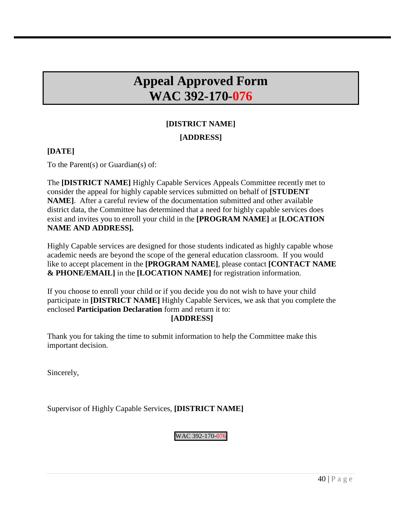# **Appeal Approved Form WAC 392-170-076**

## **[DISTRICT NAME]**

### **[ADDRESS]**

### **[DATE]**

To the Parent(s) or Guardian(s) of:

The **[DISTRICT NAME]** Highly Capable Services Appeals Committee recently met to consider the appeal for highly capable services submitted on behalf of **[STUDENT NAME**]. After a careful review of the documentation submitted and other available district data, the Committee has determined that a need for highly capable services does exist and invites you to enroll your child in the **[PROGRAM NAME]** at **[LOCATION NAME AND ADDRESS].** 

Highly Capable services are designed for those students indicated as highly capable whose academic needs are beyond the scope of the general education classroom. If you would like to accept placement in the **[PROGRAM NAME]**, please contact **[CONTACT NAME & PHONE/EMAIL]** in the **[LOCATION NAME]** for registration information.

If you choose to enroll your child or if you decide you do not wish to have your child participate in **[DISTRICT NAME]** Highly Capable Services, we ask that you complete the enclosed **Participation Declaration** form and return it to:

### **[ADDRESS]**

Thank you for taking the time to submit information to help the Committee make this important decision.

Sincerely,

Supervisor of Highly Capable Services, **[DISTRICT NAME]**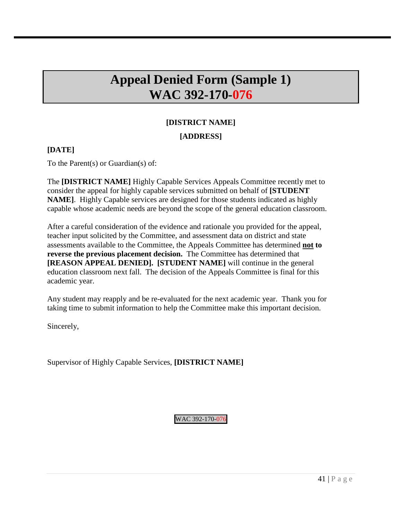# **Appeal Denied Form (Sample 1) WAC 392-170-076**

# **[DISTRICT NAME]**

### **[ADDRESS]**

### **[DATE]**

To the Parent(s) or Guardian(s) of:

The **[DISTRICT NAME]** Highly Capable Services Appeals Committee recently met to consider the appeal for highly capable services submitted on behalf of **[STUDENT NAME]**. Highly Capable services are designed for those students indicated as highly capable whose academic needs are beyond the scope of the general education classroom.

After a careful consideration of the evidence and rationale you provided for the appeal, teacher input solicited by the Committee, and assessment data on district and state assessments available to the Committee, the Appeals Committee has determined **not to reverse the previous placement decision.** The Committee has determined that **[REASON APPEAL DENIED]. [STUDENT NAME]** will continue in the general education classroom next fall. The decision of the Appeals Committee is final for this academic year.

Any student may reapply and be re-evaluated for the next academic year. Thank you for taking time to submit information to help the Committee make this important decision.

Sincerely,

Supervisor of Highly Capable Services, **[DISTRICT NAME]**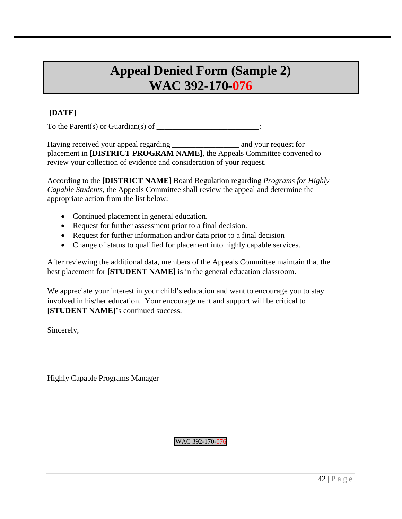# **Appeal Denied Form (Sample 2) WAC 392-170-076**

### **[DATE]**

To the Parent(s) or Guardian(s) of  $\frac{1}{\sqrt{1-\frac{1}{n}}}\$ 

Having received your appeal regarding \_\_\_\_\_\_\_\_\_\_\_\_\_\_\_\_\_ and your request for placement in **[DISTRICT PROGRAM NAME]**, the Appeals Committee convened to review your collection of evidence and consideration of your request.

According to the **[DISTRICT NAME]** Board Regulation regarding *Programs for Highly Capable Students*, the Appeals Committee shall review the appeal and determine the appropriate action from the list below:

- Continued placement in general education.
- Request for further assessment prior to a final decision.
- Request for further information and/or data prior to a final decision
- Change of status to qualified for placement into highly capable services.

After reviewing the additional data, members of the Appeals Committee maintain that the best placement for **[STUDENT NAME]** is in the general education classroom.

We appreciate your interest in your child's education and want to encourage you to stay involved in his/her education. Your encouragement and support will be critical to **[STUDENT NAME]'s continued success.** 

Sincerely,

Highly Capable Programs Manager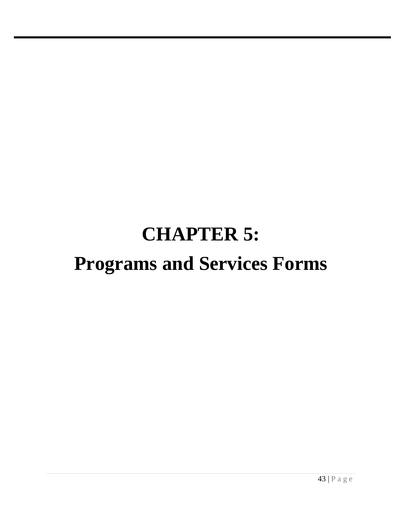# **CHAPTER 5: Programs and Services Forms**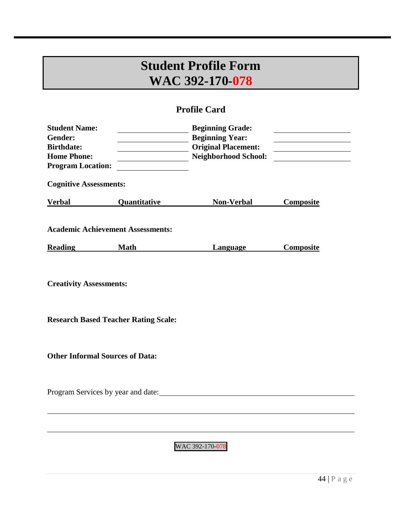# **Student Profile Form WAC 392-170-078**

## **Profile Card**

| <b>Student Name:</b><br>Gender:<br><b>Birthdate:</b><br><b>Home Phone:</b><br><b>Program Location:</b> |                     | <b>Beginning Grade:</b><br><b>Beginning Year:</b><br><b>Original Placement:</b><br><b>Neighborhood School:</b> | the contract of the contract of the contract of the<br><u> 1989 - John Harry Barn, amerikansk politiker</u> |  |  |
|--------------------------------------------------------------------------------------------------------|---------------------|----------------------------------------------------------------------------------------------------------------|-------------------------------------------------------------------------------------------------------------|--|--|
| <b>Cognitive Assessments:</b>                                                                          |                     |                                                                                                                |                                                                                                             |  |  |
| <b>Verbal</b>                                                                                          | <b>Quantitative</b> | <b>Non-Verbal</b>                                                                                              | <b>Composite</b>                                                                                            |  |  |
| <b>Academic Achievement Assessments:</b>                                                               |                     |                                                                                                                |                                                                                                             |  |  |
| <b>Reading</b>                                                                                         | <b>Math</b>         | <b>Language</b>                                                                                                | <b>Composite</b>                                                                                            |  |  |
| <b>Creativity Assessments:</b>                                                                         |                     |                                                                                                                |                                                                                                             |  |  |
| <b>Research Based Teacher Rating Scale:</b>                                                            |                     |                                                                                                                |                                                                                                             |  |  |
| <b>Other Informal Sources of Data:</b>                                                                 |                     |                                                                                                                |                                                                                                             |  |  |
| Program Services by year and date:                                                                     |                     |                                                                                                                |                                                                                                             |  |  |
|                                                                                                        |                     |                                                                                                                |                                                                                                             |  |  |
|                                                                                                        |                     |                                                                                                                |                                                                                                             |  |  |
| WAC 392-170-078                                                                                        |                     |                                                                                                                |                                                                                                             |  |  |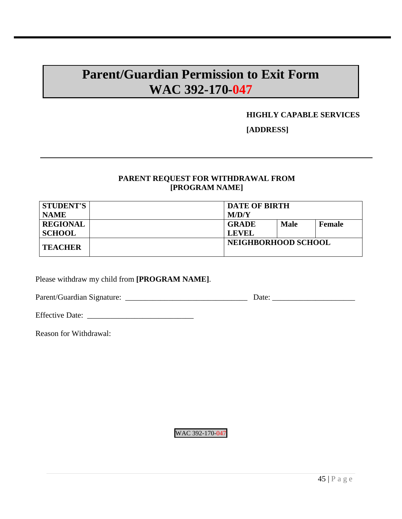## **Parent/Guardian Permission to Exit Form WAC 392-170-047**

### **HIGHLY CAPABLE SERVICES**

**[ADDRESS]**

### **PARENT REQUEST FOR WITHDRAWAL FROM [PROGRAM NAME]**

| <b>STUDENT'S</b> | <b>DATE OF BIRTH</b> |             |               |
|------------------|----------------------|-------------|---------------|
| <b>NAME</b>      | M/D/Y                |             |               |
| <b>REGIONAL</b>  | <b>GRADE</b>         | <b>Male</b> | <b>Female</b> |
| <b>SCHOOL</b>    | <b>LEVEL</b>         |             |               |
| <b>TEACHER</b>   | NEIGHBORHOOD SCHOOL  |             |               |

Please withdraw my child from **[PROGRAM NAME]**.

Parent/Guardian Signature: \_\_\_\_\_\_\_\_\_\_\_\_\_\_\_\_\_\_\_\_\_\_\_\_\_\_\_\_\_\_\_ Date: \_\_\_\_\_\_\_\_\_\_\_\_\_\_\_\_\_\_\_\_\_

Effective Date: \_\_\_\_\_\_\_\_\_\_\_\_\_\_\_\_\_\_\_\_\_\_\_\_\_\_\_

Reason for Withdrawal: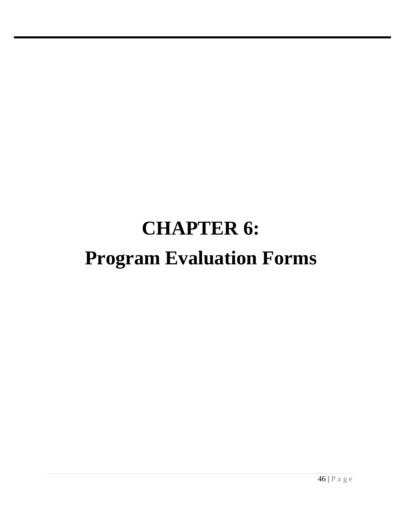# **CHAPTER 6: Program Evaluation Forms**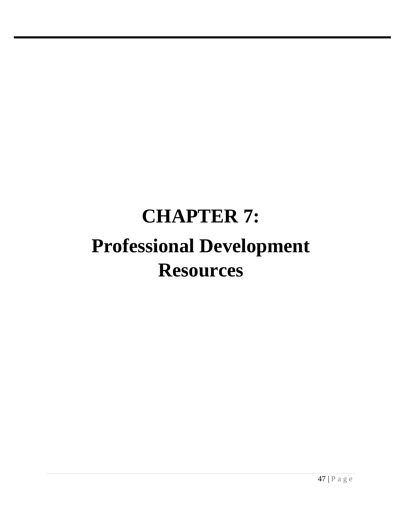# **CHAPTER 7: Professional Development Resources**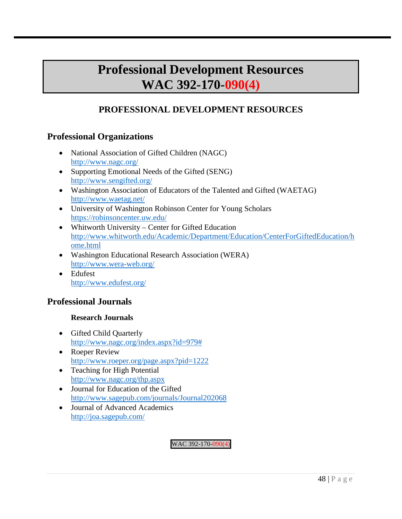## **Professional Development Resources WAC 392-170-090(4)**

## **PROFESSIONAL DEVELOPMENT RESOURCES**

## **Professional Organizations**

- National Association of Gifted Children (NAGC) <http://www.nagc.org/>
- Supporting Emotional Needs of the Gifted (SENG) <http://www.sengifted.org/>
- Washington Association of Educators of the Talented and Gifted (WAETAG) <http://www.waetag.net/>
- University of Washington Robinson Center for Young Scholars <https://robinsoncenter.uw.edu/>
- Whitworth University Center for Gifted Education [http://www.whitworth.edu/Academic/Department/Education/CenterForGiftedEducation/h](http://www.whitworth.edu/Academic/Department/Education/CenterForGiftedEducation/home.html) [ome.html](http://www.whitworth.edu/Academic/Department/Education/CenterForGiftedEducation/home.html)
- Washington Educational Research Association (WERA) <http://www.wera-web.org/>
- Edufest <http://www.edufest.org/>

## **Professional Journals**

### **Research Journals**

- Gifted Child Quarterly [http://www.nagc.org/index.aspx?id=979#](http://www.nagc.org/index.aspx?id=979)
- Roeper Review <http://www.roeper.org/page.aspx?pid=1222>
- Teaching for High Potential <http://www.nagc.org/thp.aspx>
- Journal for Education of the Gifted <http://www.sagepub.com/journals/Journal202068>
- Journal of Advanced Academics <http://joa.sagepub.com/>

WAC 392-170-090(4)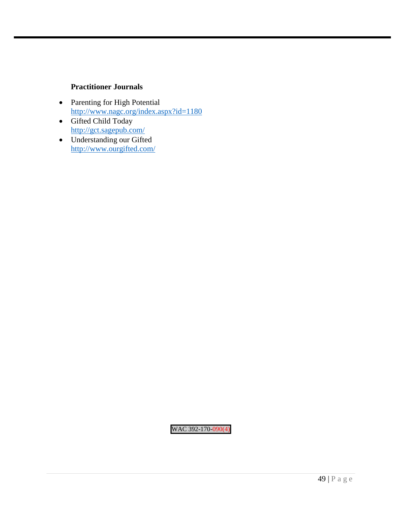### **Practitioner Journals**

- Parenting for High Potential <http://www.nagc.org/index.aspx?id=1180>
- Gifted Child Today <http://gct.sagepub.com/>
- Understanding our Gifted <http://www.ourgifted.com/>

WAC 392-170-090(4)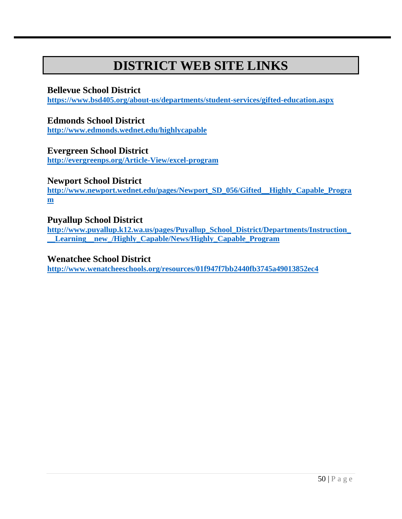# **DISTRICT WEB SITE LINKS**

### **Bellevue School District**

**<https://www.bsd405.org/about-us/departments/student-services/gifted-education.aspx>**

### **Edmonds School District**

**<http://www.edmonds.wednet.edu/highlycapable>**

### **Evergreen School District**

**<http://evergreenps.org/Article-View/excel-program>**

## **Newport School District**

**[http://www.newport.wednet.edu/pages/Newport\\_SD\\_056/Gifted\\_\\_Highly\\_Capable\\_Progra](http://www.newport.wednet.edu/pages/Newport_SD_056/Gifted__Highly_Capable_Program) [m](http://www.newport.wednet.edu/pages/Newport_SD_056/Gifted__Highly_Capable_Program)**

### **Puyallup School District**

**[http://www.puyallup.k12.wa.us/pages/Puyallup\\_School\\_District/Departments/Instruction\\_](http://www.puyallup.k12.wa.us/pages/Puyallup_School_District/Departments/Instruction___Learning__new_/Highly_Capable/News/Highly_Capable_Program) [\\_\\_Learning\\_\\_new\\_/Highly\\_Capable/News/Highly\\_Capable\\_Program](http://www.puyallup.k12.wa.us/pages/Puyallup_School_District/Departments/Instruction___Learning__new_/Highly_Capable/News/Highly_Capable_Program)**

### **Wenatchee School District**

**<http://www.wenatcheeschools.org/resources/01f947f7bb2440fb3745a49013852ec4>**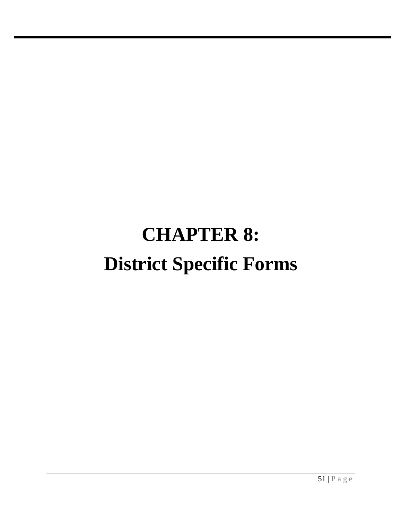# **CHAPTER 8: District Specific Forms**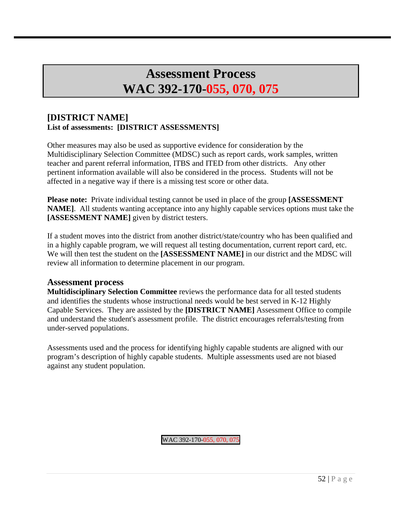# **Assessment Process WAC 392-170-055, 070, 075**

### **[DISTRICT NAME] List of assessments: [DISTRICT ASSESSMENTS]**

Other measures may also be used as supportive evidence for consideration by the Multidisciplinary Selection Committee (MDSC) such as report cards, work samples, written teacher and parent referral information, ITBS and ITED from other districts. Any other pertinent information available will also be considered in the process. Students will not be affected in a negative way if there is a missing test score or other data.

**Please note:** Private individual testing cannot be used in place of the group **[ASSESSMENT NAME]**. All students wanting acceptance into any highly capable services options must take the **[ASSESSMENT NAME]** given by district testers.

If a student moves into the district from another district/state/country who has been qualified and in a highly capable program, we will request all testing documentation, current report card, etc. We will then test the student on the **[ASSESSMENT NAME]** in our district and the MDSC will review all information to determine placement in our program.

### **Assessment process**

**Multidisciplinary Selection Committee** reviews the performance data for all tested students and identifies the students whose instructional needs would be best served in K-12 Highly Capable Services. They are assisted by the **[DISTRICT NAME]** Assessment Office to compile and understand the student's assessment profile. The district encourages referrals/testing from under-served populations.

Assessments used and the process for identifying highly capable students are aligned with our program's description of highly capable students. Multiple assessments used are not biased against any student population.

WAC 392-170-055, 070, 075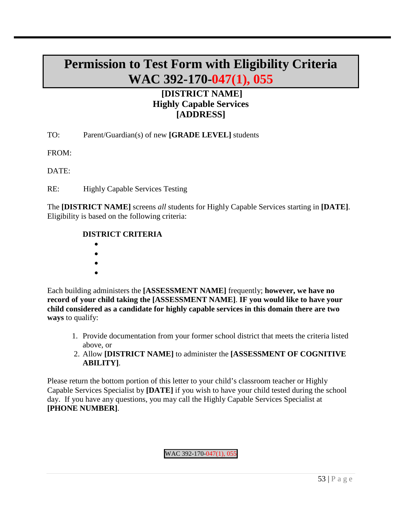# **Permission to Test Form with Eligibility Criteria WAC 392-170-047(1), 055**

## **[DISTRICT NAME] Highly Capable Services [ADDRESS]**

TO: Parent/Guardian(s) of new **[GRADE LEVEL]** students

FROM:

DATE:

RE: Highly Capable Services Testing

The **[DISTRICT NAME]** screens *all* students for Highly Capable Services starting in **[DATE]**. Eligibility is based on the following criteria:

### **DISTRICT CRITERIA**

- •
- •
- •
- •

Each building administers the **[ASSESSMENT NAME]** frequently; **however, we have no record of your child taking the [ASSESSMENT NAME]**. **IF you would like to have your child considered as a candidate for highly capable services in this domain there are two ways** to qualify:

- 1. Provide documentation from your former school district that meets the criteria listed above, or
- 2. Allow **[DISTRICT NAME]** to administer the **[ASSESSMENT OF COGNITIVE ABILITY]**.

Please return the bottom portion of this letter to your child's classroom teacher or Highly Capable Services Specialist by **[DATE]** if you wish to have your child tested during the school day. If you have any questions, you may call the Highly Capable Services Specialist at **[PHONE NUMBER]**.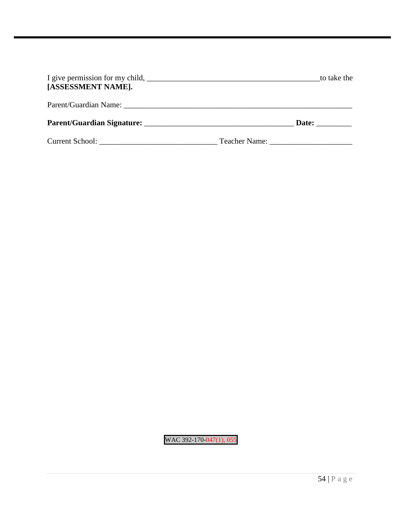| [ASSESSMENT NAME].                | to take the |
|-----------------------------------|-------------|
|                                   |             |
| <b>Parent/Guardian Signature:</b> | Date:       |
|                                   |             |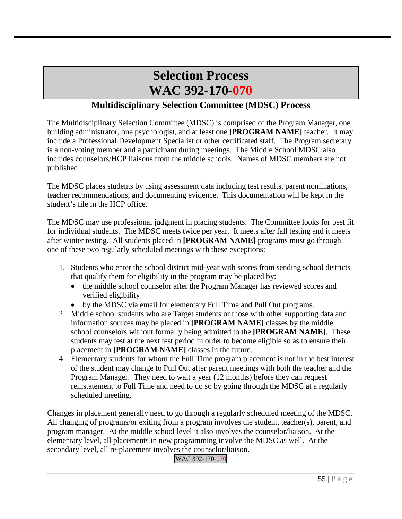# **Selection Process WAC 392-170-070**

## **Multidisciplinary Selection Committee (MDSC) Process**

The Multidisciplinary Selection Committee (MDSC) is comprised of the Program Manager, one building administrator, one psychologist, and at least one **[PROGRAM NAME]** teacher. It may include a Professional Development Specialist or other certificated staff. The Program secretary is a non-voting member and a participant during meetings. The Middle School MDSC also includes counselors/HCP liaisons from the middle schools. Names of MDSC members are not published.

The MDSC places students by using assessment data including test results, parent nominations, teacher recommendations, and documenting evidence. This documentation will be kept in the student's file in the HCP office.

The MDSC may use professional judgment in placing students. The Committee looks for best fit for individual students. The MDSC meets twice per year. It meets after fall testing and it meets after winter testing. All students placed in **[PROGRAM NAME]** programs must go through one of these two regularly scheduled meetings with these exceptions:

- 1. Students who enter the school district mid-year with scores from sending school districts that qualify them for eligibility in the program may be placed by:
	- the middle school counselor after the Program Manager has reviewed scores and verified eligibility
	- by the MDSC via email for elementary Full Time and Pull Out programs.
- 2. Middle school students who are Target students or those with other supporting data and information sources may be placed in **[PROGRAM NAME]** classes by the middle school counselors without formally being admitted to the **[PROGRAM NAME]**. These students may test at the next test period in order to become eligible so as to ensure their placement in **[PROGRAM NAME]** classes in the future.
- 4. Elementary students for whom the Full Time program placement is not in the best interest of the student may change to Pull Out after parent meetings with both the teacher and the Program Manager. They need to wait a year (12 months) before they can request reinstatement to Full Time and need to do so by going through the MDSC at a regularly scheduled meeting.

Changes in placement generally need to go through a regularly scheduled meeting of the MDSC. All changing of programs/or exiting from a program involves the student, teacher(s), parent, and program manager. At the middle school level it also involves the counselor/liaison. At the elementary level, all placements in new programming involve the MDSC as well. At the secondary level, all re-placement involves the counselor/liaison.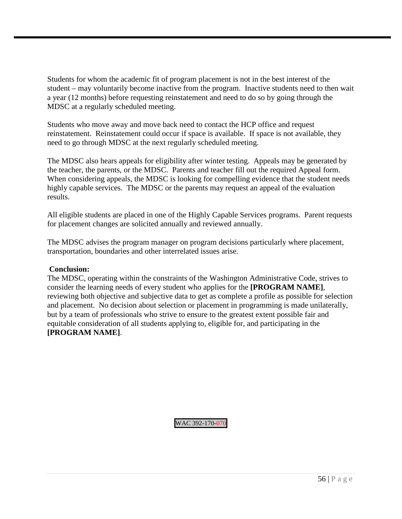Students for whom the academic fit of program placement is not in the best interest of the student – may voluntarily become inactive from the program. Inactive students need to then wait a year (12 months) before requesting reinstatement and need to do so by going through the MDSC at a regularly scheduled meeting.

Students who move away and move back need to contact the HCP office and request reinstatement. Reinstatement could occur if space is available. If space is not available, they need to go through MDSC at the next regularly scheduled meeting.

The MDSC also hears appeals for eligibility after winter testing. Appeals may be generated by the teacher, the parents, or the MDSC. Parents and teacher fill out the required Appeal form. When considering appeals, the MDSC is looking for compelling evidence that the student needs highly capable services. The MDSC or the parents may request an appeal of the evaluation results.

All eligible students are placed in one of the Highly Capable Services programs. Parent requests for placement changes are solicited annually and reviewed annually.

The MDSC advises the program manager on program decisions particularly where placement, transportation, boundaries and other interrelated issues arise.

### **Conclusion:**

The MDSC, operating within the constraints of the Washington Administrative Code, strives to consider the learning needs of every student who applies for the **[PROGRAM NAME]**, reviewing both objective and subjective data to get as complete a profile as possible for selection and placement. No decision about selection or placement in programming is made unilaterally, but by a team of professionals who strive to ensure to the greatest extent possible fair and equitable consideration of all students applying to, eligible for, and participating in the **[PROGRAM NAME]**.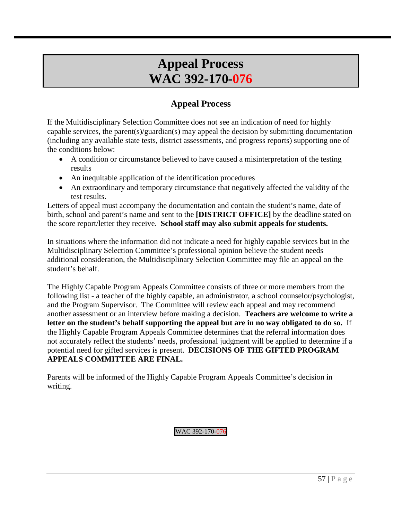# **Appeal Process WAC 392-170-076**

## **Appeal Process**

If the Multidisciplinary Selection Committee does not see an indication of need for highly capable services, the parent(s)/guardian(s) may appeal the decision by submitting documentation (including any available state tests, district assessments, and progress reports) supporting one of the conditions below:

- A condition or circumstance believed to have caused a misinterpretation of the testing results
- An inequitable application of the identification procedures
- An extraordinary and temporary circumstance that negatively affected the validity of the test results.

Letters of appeal must accompany the documentation and contain the student's name, date of birth, school and parent's name and sent to the **[DISTRICT OFFICE]** by the deadline stated on the score report/letter they receive. **School staff may also submit appeals for students.**

In situations where the information did not indicate a need for highly capable services but in the Multidisciplinary Selection Committee's professional opinion believe the student needs additional consideration, the Multidisciplinary Selection Committee may file an appeal on the student's behalf.

The Highly Capable Program Appeals Committee consists of three or more members from the following list - a teacher of the highly capable, an administrator, a school counselor/psychologist, and the Program Supervisor. The Committee will review each appeal and may recommend another assessment or an interview before making a decision. **Teachers are welcome to write a letter on the student's behalf supporting the appeal but are in no way obligated to do so.** If the Highly Capable Program Appeals Committee determines that the referral information does not accurately reflect the students' needs, professional judgment will be applied to determine if a potential need for gifted services is present. **DECISIONS OF THE GIFTED PROGRAM APPEALS COMMITTEE ARE FINAL.**

Parents will be informed of the Highly Capable Program Appeals Committee's decision in writing.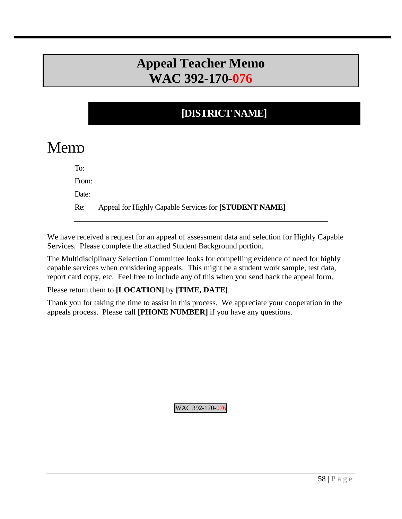# **Appeal Teacher Memo WAC 392-170-076**

## **[DISTRICT NAME]**

# Memo

To:

From:

Date:

Re: Appeal for Highly Capable Services for **[STUDENT NAME]**

We have received a request for an appeal of assessment data and selection for Highly Capable Services. Please complete the attached Student Background portion.

The Multidisciplinary Selection Committee looks for compelling evidence of need for highly capable services when considering appeals. This might be a student work sample, test data, report card copy, etc. Feel free to include any of this when you send back the appeal form.

Please return them to **[LOCATION]** by **[TIME, DATE]**.

Thank you for taking the time to assist in this process. We appreciate your cooperation in the appeals process. Please call **[PHONE NUMBER]** if you have any questions.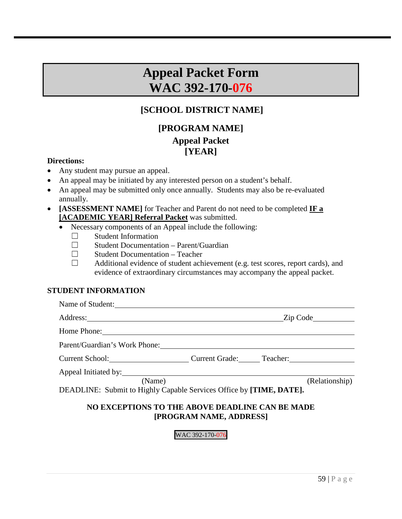# **Appeal Packet Form WAC 392-170-076**

## **[SCHOOL DISTRICT NAME]**

## **[PROGRAM NAME] Appeal Packet [YEAR]**

### **Directions:**

- Any student may pursue an appeal.
- An appeal may be initiated by any interested person on a student's behalf.
- An appeal may be submitted only once annually. Students may also be re-evaluated annually.
- **[ASSESSMENT NAME]** for Teacher and Parent do not need to be completed **IF a [ACADEMIC YEAR] Referral Packet** was submitted.
	- Necessary components of an Appeal include the following:
		- $\Box$  Student Information
		- ☐ Student Documentation Parent/Guardian
		- ☐ Student Documentation Teacher
		- ☐ Additional evidence of student achievement (e.g. test scores, report cards), and evidence of extraordinary circumstances may accompany the appeal packet.

### **STUDENT INFORMATION**

| Name of Student:                                                              |                |
|-------------------------------------------------------------------------------|----------------|
|                                                                               | Zip Code       |
|                                                                               |                |
| Parent/Guardian's Work Phone:                                                 |                |
| Current School: Current Grade: Teacher: Teacher:                              |                |
|                                                                               |                |
| (Name)<br>DEADLINE: Submit to Highly Capable Services Office by [TIME, DATE]. | (Relationship) |

### **NO EXCEPTIONS TO THE ABOVE DEADLINE CAN BE MADE [PROGRAM NAME, ADDRESS]**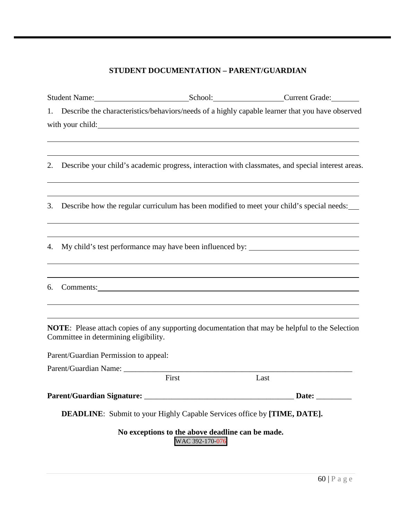### **STUDENT DOCUMENTATION – PARENT/GUARDIAN**

|    |                                       |                                                                     | Student Name: School: Current Grade:                                                               |
|----|---------------------------------------|---------------------------------------------------------------------|----------------------------------------------------------------------------------------------------|
|    |                                       |                                                                     | 1. Describe the characteristics/behaviors/needs of a highly capable learner that you have observed |
|    |                                       |                                                                     |                                                                                                    |
| 2. |                                       |                                                                     | Describe your child's academic progress, interaction with classmates, and special interest areas.  |
| 3. |                                       |                                                                     | Describe how the regular curriculum has been modified to meet your child's special needs:          |
| 4. |                                       |                                                                     | My child's test performance may have been influenced by: _______________________                   |
| 6. |                                       |                                                                     | Comments: Comments:                                                                                |
|    | Committee in determining eligibility. |                                                                     | NOTE: Please attach copies of any supporting documentation that may be helpful to the Selection    |
|    | Parent/Guardian Permission to appeal: |                                                                     |                                                                                                    |
|    | Parent/Guardian Name: _________       | First                                                               | Last                                                                                               |
|    |                                       |                                                                     | Date: $\qquad \qquad$                                                                              |
|    |                                       |                                                                     | <b>DEADLINE:</b> Submit to your Highly Capable Services office by [TIME, DATE].                    |
|    |                                       | No exceptions to the above deadline can be made.<br>WAC 392-170-076 |                                                                                                    |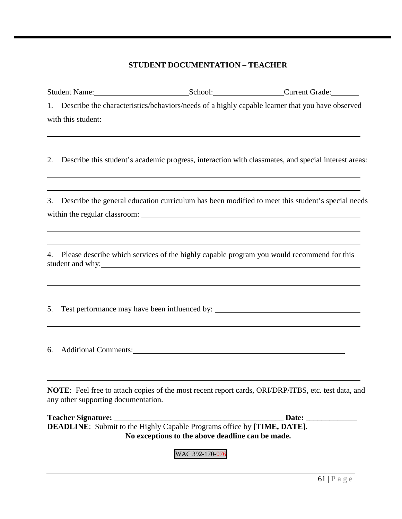### **STUDENT DOCUMENTATION – TEACHER**

|    |                                                      |                                                                                                                                                                                                                                                                                                                                | Student Name: School: Current Grade: Current Grade:                                                                                                                                                                       |
|----|------------------------------------------------------|--------------------------------------------------------------------------------------------------------------------------------------------------------------------------------------------------------------------------------------------------------------------------------------------------------------------------------|---------------------------------------------------------------------------------------------------------------------------------------------------------------------------------------------------------------------------|
|    |                                                      |                                                                                                                                                                                                                                                                                                                                | 1. Describe the characteristics/behaviors/needs of a highly capable learner that you have observed                                                                                                                        |
|    |                                                      | with this student:                                                                                                                                                                                                                                                                                                             |                                                                                                                                                                                                                           |
|    |                                                      | ,我们也不会有什么。""我们的人,我们也不会有什么?""我们的人,我们也不会有什么?""我们的人,我们也不会有什么?""我们的人,我们也不会有什么?""我们的人                                                                                                                                                                                                                                               |                                                                                                                                                                                                                           |
| 2. |                                                      |                                                                                                                                                                                                                                                                                                                                | Describe this student's academic progress, interaction with classmates, and special interest areas:                                                                                                                       |
| 3. |                                                      |                                                                                                                                                                                                                                                                                                                                | <u> 1989 - Johann Barn, mars and deur de Brensen en deur de Brensen en deur de Brensen en de Brensen en de Brense</u><br>Describe the general education curriculum has been modified to meet this student's special needs |
|    |                                                      |                                                                                                                                                                                                                                                                                                                                |                                                                                                                                                                                                                           |
|    |                                                      | <u> 1989 - Johann Stoff, deutscher Stoffen und der Stoffen und der Stoffen und der Stoffen und der Stoffen und der</u><br>4. Please describe which services of the highly capable program you would recommend for this<br>student and why:<br>,我们也不会有什么。""我们的人,我们也不会有什么?""我们的人,我们也不会有什么?""我们的人,我们也不会有什么?""我们的人,我们也不会有什么?""我们的人 |                                                                                                                                                                                                                           |
| 5. |                                                      | <u> 1989 - Andrea Santana, amerikana amerikana amerikana amerikana amerikana amerikana amerikana amerikana amerika</u>                                                                                                                                                                                                         | Test performance may have been influenced by: __________________________________                                                                                                                                          |
| 6. | <u> 1989 - Johann Barn, fransk politik (f. 1989)</u> | Additional Comments: 2008 and 2008 and 2008 and 2008 and 2008 and 2008 and 2008 and 2008 and 2008 and 2008 and 2008 and 2008 and 2008 and 2008 and 2008 and 2008 and 2008 and 2008 and 2008 and 2008 and 2008 and 2008 and 200                                                                                                 |                                                                                                                                                                                                                           |
|    | any other supporting documentation.                  |                                                                                                                                                                                                                                                                                                                                | NOTE: Feel free to attach copies of the most recent report cards, ORI/DRP/ITBS, etc. test data, and                                                                                                                       |
|    | <b>Teacher Signature:</b>                            |                                                                                                                                                                                                                                                                                                                                | Date:                                                                                                                                                                                                                     |
|    |                                                      | <b>DEADLINE:</b> Submit to the Highly Capable Programs office by [TIME, DATE].                                                                                                                                                                                                                                                 |                                                                                                                                                                                                                           |
|    |                                                      | No exceptions to the above deadline can be made.                                                                                                                                                                                                                                                                               |                                                                                                                                                                                                                           |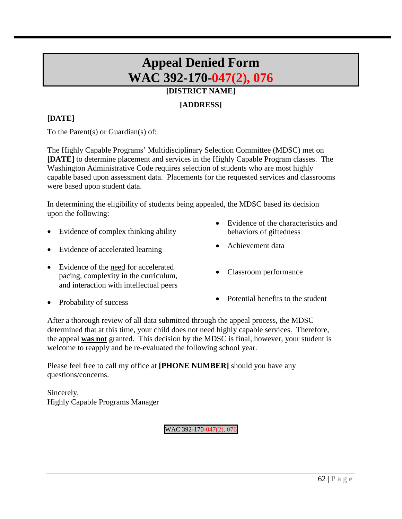# **Appeal Denied Form WAC 392-170-047(2), 076**

## **[DISTRICT NAME]**

### **[ADDRESS]**

### **[DATE]**

To the Parent(s) or Guardian(s) of:

The Highly Capable Programs' Multidisciplinary Selection Committee (MDSC) met on **[DATE]** to determine placement and services in the Highly Capable Program classes. The Washington Administrative Code requires selection of students who are most highly capable based upon assessment data. Placements for the requested services and classrooms were based upon student data.

In determining the eligibility of students being appealed, the MDSC based its decision upon the following:

- Evidence of complex thinking ability
- Evidence of accelerated learning Achievement data
- Evidence of the need for accelerated pacing, complexity in the curriculum, and interaction with intellectual peers
- Evidence of the characteristics and behaviors of giftedness
- 
- Classroom performance

- 
- Probability of success Potential benefits to the student

After a thorough review of all data submitted through the appeal process, the MDSC determined that at this time, your child does not need highly capable services. Therefore, the appeal **was not** granted. This decision by the MDSC is final, however, your student is welcome to reapply and be re-evaluated the following school year.

Please feel free to call my office at **[PHONE NUMBER]** should you have any questions/concerns.

Sincerely, Highly Capable Programs Manager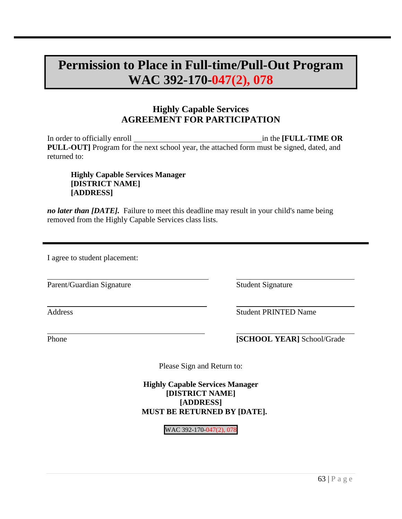# **Permission to Place in Full-time/Pull-Out Program WAC 392-170-047(2), 078**

## **Highly Capable Services AGREEMENT FOR PARTICIPATION**

In order to officially enroll **in the <b>FULL-TIME OR** in the **FULL-TIME OR PULL-OUT]** Program for the next school year, the attached form must be signed, dated, and returned to:

**Highly Capable Services Manager [DISTRICT NAME] [ADDRESS]**

*no later than [DATE].* Failure to meet this deadline may result in your child's name being removed from the Highly Capable Services class lists.

I agree to student placement:

Parent/Guardian Signature Student Signature

 $\overline{a}$ 

 $\overline{a}$ 

 $\overline{a}$ 

Address Student PRINTED Name

**Phone [SCHOOL YEAR]** School/Grade

Please Sign and Return to:

**Highly Capable Services Manager [DISTRICT NAME] [ADDRESS] MUST BE RETURNED BY [DATE].**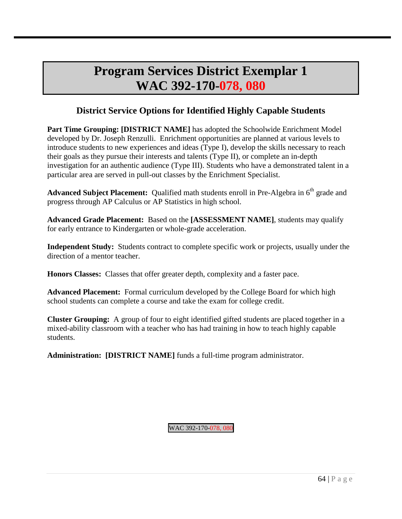# **Program Services District Exemplar 1 WAC 392-170-078, 080**

# **District Service Options for Identified Highly Capable Students**

**Part Time Grouping: [DISTRICT NAME]** has adopted the Schoolwide Enrichment Model developed by Dr. Joseph Renzulli. Enrichment opportunities are planned at various levels to introduce students to new experiences and ideas (Type I), develop the skills necessary to reach their goals as they pursue their interests and talents (Type II), or complete an in-depth investigation for an authentic audience (Type III). Students who have a demonstrated talent in a particular area are served in pull-out classes by the Enrichment Specialist.

Advanced Subject Placement: Qualified math students enroll in Pre-Algebra in 6<sup>th</sup> grade and progress through AP Calculus or AP Statistics in high school.

**Advanced Grade Placement:** Based on the **[ASSESSMENT NAME]**, students may qualify for early entrance to Kindergarten or whole-grade acceleration.

**Independent Study:** Students contract to complete specific work or projects, usually under the direction of a mentor teacher.

**Honors Classes:** Classes that offer greater depth, complexity and a faster pace.

**Advanced Placement:** Formal curriculum developed by the College Board for which high school students can complete a course and take the exam for college credit.

**Cluster Grouping:** A group of four to eight identified gifted students are placed together in a mixed-ability classroom with a teacher who has had training in how to teach highly capable students.

**Administration: [DISTRICT NAME]** funds a full-time program administrator.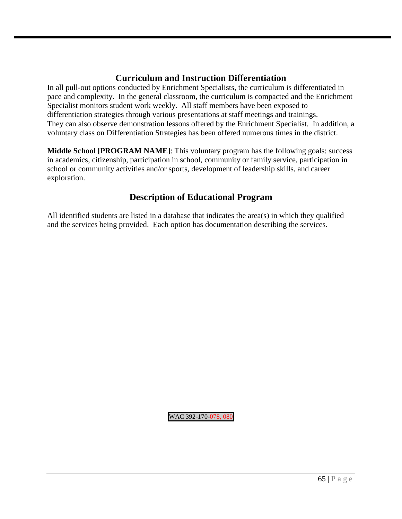### **Curriculum and Instruction Differentiation**

In all pull-out options conducted by Enrichment Specialists, the curriculum is differentiated in pace and complexity. In the general classroom, the curriculum is compacted and the Enrichment Specialist monitors student work weekly. All staff members have been exposed to differentiation strategies through various presentations at staff meetings and trainings. They can also observe demonstration lessons offered by the Enrichment Specialist. In addition, a voluntary class on Differentiation Strategies has been offered numerous times in the district.

**Middle School [PROGRAM NAME]**: This voluntary program has the following goals: success in academics, citizenship, participation in school, community or family service, participation in school or community activities and/or sports, development of leadership skills, and career exploration.

## **Description of Educational Program**

All identified students are listed in a database that indicates the area(s) in which they qualified and the services being provided. Each option has documentation describing the services.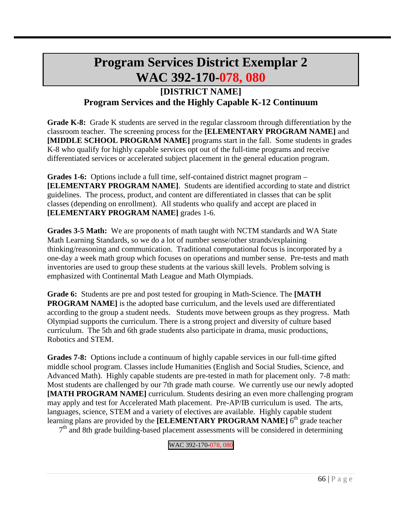# **Program Services District Exemplar 2 WAC 392-170-078, 080**

## **[DISTRICT NAME] Program Services and the Highly Capable K-12 Continuum**

**Grade K-8:** Grade K students are served in the regular classroom through differentiation by the classroom teacher. The screening process for the **[ELEMENTARY PROGRAM NAME]** and **[MIDDLE SCHOOL PROGRAM NAME]** programs start in the fall. Some students in grades K-8 who qualify for highly capable services opt out of the full-time programs and receive differentiated services or accelerated subject placement in the general education program.

**Grades 1-6:** Options include a full time, self-contained district magnet program – **[ELEMENTARY PROGRAM NAME]**. Students are identified according to state and district guidelines. The process, product, and content are differentiated in classes that can be split classes (depending on enrollment). All students who qualify and accept are placed in **[ELEMENTARY PROGRAM NAME]** grades 1-6.

**Grades 3-5 Math:** We are proponents of math taught with NCTM standards and WA State Math Learning Standards, so we do a lot of number sense/other strands/explaining thinking/reasoning and communication. Traditional computational focus is incorporated by a one-day a week math group which focuses on operations and number sense. Pre-tests and math inventories are used to group these students at the various skill levels. Problem solving is emphasized with Continental Math League and Math Olympiads.

**Grade 6:** Students are pre and post tested for grouping in Math-Science. The **[MATH PROGRAM NAME]** is the adopted base curriculum, and the levels used are differentiated according to the group a student needs. Students move between groups as they progress. Math Olympiad supports the curriculum. There is a strong project and diversity of culture based curriculum. The 5th and 6th grade students also participate in drama, music productions, Robotics and STEM.

**Grades 7-8:** Options include a continuum of highly capable services in our full-time gifted middle school program. Classes include Humanities (English and Social Studies, Science, and Advanced Math). Highly capable students are pre-tested in math for placement only. 7-8 math: Most students are challenged by our 7th grade math course. We currently use our newly adopted **[MATH PROGRAM NAME]** curriculum. Students desiring an even more challenging program may apply and test for Accelerated Math placement. Pre-AP/IB curriculum is used. The arts, languages, science, STEM and a variety of electives are available. Highly capable student learning plans are provided by the **[ELEMENTARY PROGRAM NAME**] 6<sup>th</sup> grade teacher

 $7<sup>th</sup>$  and 8th grade building-based placement assessments will be considered in determining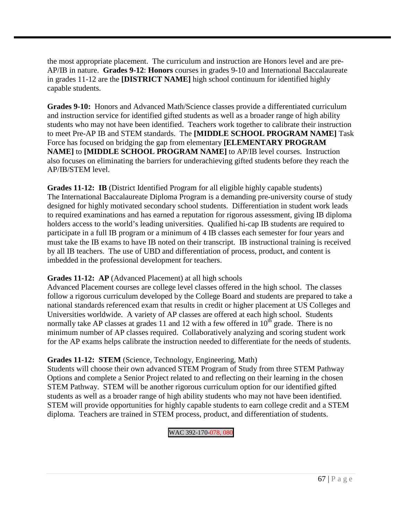the most appropriate placement. The curriculum and instruction are Honors level and are pre-AP/IB in nature. **Grades 9-12**: **Honors** courses in grades 9-10 and International Baccalaureate in grades 11-12 are the **[DISTRICT NAME]** high school continuum for identified highly capable students.

**Grades 9-10:** Honors and Advanced Math/Science classes provide a differentiated curriculum and instruction service for identified gifted students as well as a broader range of high ability students who may not have been identified. Teachers work together to calibrate their instruction to meet Pre-AP IB and STEM standards. The **[MIDDLE SCHOOL PROGRAM NAME]** Task Force has focused on bridging the gap from elementary **[ELEMENTARY PROGRAM NAME]** to **[MIDDLE SCHOOL PROGRAM NAME]** to AP/IB level courses. Instruction also focuses on eliminating the barriers for underachieving gifted students before they reach the AP/IB/STEM level.

**Grades 11-12: IB** (District Identified Program for all eligible highly capable students) The International Baccalaureate Diploma Program is a demanding pre-university course of study designed for highly motivated secondary school students. Differentiation in student work leads to required examinations and has earned a reputation for rigorous assessment, giving IB diploma holders access to the world's leading universities. Qualified hi-cap IB students are required to participate in a full IB program or a minimum of 4 IB classes each semester for four years and must take the IB exams to have IB noted on their transcript. IB instructional training is received by all IB teachers. The use of UBD and differentiation of process, product, and content is imbedded in the professional development for teachers.

#### **Grades 11-12: AP** (Advanced Placement) at all high schools

Advanced Placement courses are college level classes offered in the high school. The classes follow a rigorous curriculum developed by the College Board and students are prepared to take a national standards referenced exam that results in credit or higher placement at US Colleges and Universities worldwide. A variety of AP classes are offered at each high school. Students normally take AP classes at grades 11 and 12 with a few offered in  $10^{th}$  grade. There is no minimum number of AP classes required. Collaboratively analyzing and scoring student work for the AP exams helps calibrate the instruction needed to differentiate for the needs of students.

#### **Grades 11-12: STEM** (Science, Technology, Engineering, Math)

Students will choose their own advanced STEM Program of Study from three STEM Pathway Options and complete a Senior Project related to and reflecting on their learning in the chosen STEM Pathway. STEM will be another rigorous curriculum option for our identified gifted students as well as a broader range of high ability students who may not have been identified. STEM will provide opportunities for highly capable students to earn college credit and a STEM diploma. Teachers are trained in STEM process, product, and differentiation of students.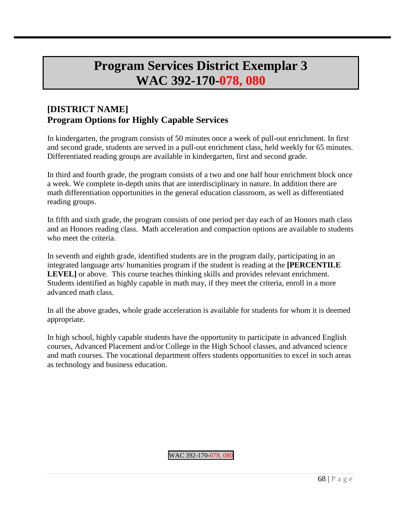# **Program Services District Exemplar 3 WAC 392-170-078, 080**

## **[DISTRICT NAME] Program Options for Highly Capable Services**

In kindergarten, the program consists of 50 minutes once a week of pull-out enrichment. In first and second grade, students are served in a pull-out enrichment class, held weekly for 65 minutes. Differentiated reading groups are available in kindergarten, first and second grade.

In third and fourth grade, the program consists of a two and one half hour enrichment block once a week. We complete in-depth units that are interdisciplinary in nature. In addition there are math differentiation opportunities in the general education classroom, as well as differentiated reading groups.

In fifth and sixth grade, the program consists of one period per day each of an Honors math class and an Honors reading class. Math acceleration and compaction options are available to students who meet the criteria.

In seventh and eighth grade, identified students are in the program daily, participating in an integrated language arts/ humanities program if the student is reading at the **[PERCENTILE LEVEL**] or above. This course teaches thinking skills and provides relevant enrichment. Students identified as highly capable in math may, if they meet the criteria, enroll in a more advanced math class.

In all the above grades, whole grade acceleration is available for students for whom it is deemed appropriate.

In high school, highly capable students have the opportunity to participate in advanced English courses, Advanced Placement and/or College in the High School classes, and advanced science and math courses. The vocational department offers students opportunities to excel in such areas as technology and business education.